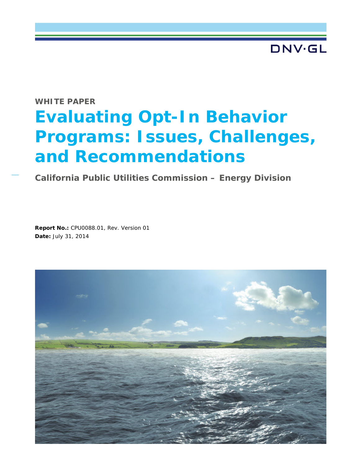**DNV·GL** 

## **WHITE PAPER**

# **Evaluating Opt-In Behavior Programs: Issues, Challenges, and Recommendations**

**California Public Utilities Commission – Energy Division**

**Report No.:** CPU0088.01, Rev. Version 01 **Date:** July 31, 2014

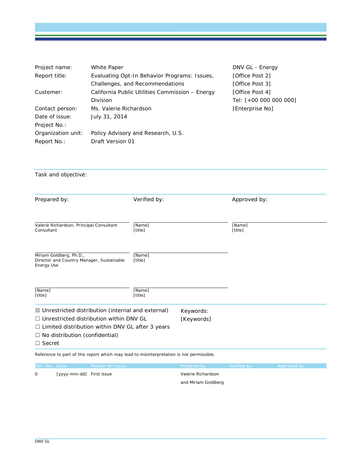| Project name:      | White Paper                                     | DNV GL - Energy        |
|--------------------|-------------------------------------------------|------------------------|
| Report title:      | Evaluating Opt-In Behavior Programs: Issues,    | [Office Post 2]        |
|                    | Challenges, and Recommendations                 | [Office Post 3]        |
| Customer:          | California Public Utilities Commission - Energy | [Office Post 4]        |
|                    | <b>Division</b>                                 | Tel: [+00 000 000 000] |
| Contact person:    | Ms. Valerie Richardson                          | [Enterprise No]        |
| Date of issue:     | July 31, 2014                                   |                        |
| Project No.:       |                                                 |                        |
| Organization unit: | Policy Advisory and Research, U.S.              |                        |
| Report No.:        | Draft Version 01                                |                        |

Task and objective:

| Prepared by:                                                                                                                                                                                                                         | Verified by:      |                         | Approved by:      |  |
|--------------------------------------------------------------------------------------------------------------------------------------------------------------------------------------------------------------------------------------|-------------------|-------------------------|-------------------|--|
| Valerie Richardson, Principal Consultant<br>Consultant                                                                                                                                                                               | [Name]<br>[title] |                         | [Name]<br>[title] |  |
| Miriam Goldberg, Ph.D.,<br>Director and Country Manager, Sustainable<br><b>Energy Use</b>                                                                                                                                            | [Name]<br>[title] |                         |                   |  |
| [Name]<br>[title]                                                                                                                                                                                                                    | [Name]<br>[title] |                         |                   |  |
| $\boxtimes$ Unrestricted distribution (internal and external)<br>$\Box$ Unrestricted distribution within DNV GL<br>$\Box$ Limited distribution within DNV GL after 3 years<br>$\Box$ No distribution (confidential)<br>$\Box$ Secret |                   | Keywords:<br>[Keywords] |                   |  |

Reference to part of this report which may lead to misinterpretation is not permissible.

| Rev. No. Date |                          | <b>Reason for Issue</b> | <b>Prepared by</b>  | <b>Nerified by</b> | Approved by |
|---------------|--------------------------|-------------------------|---------------------|--------------------|-------------|
| $\Omega$      | [yyyy-mm-dd] First issue |                         | Valerie Richardson  |                    |             |
|               |                          |                         | and Miriam Goldberg |                    |             |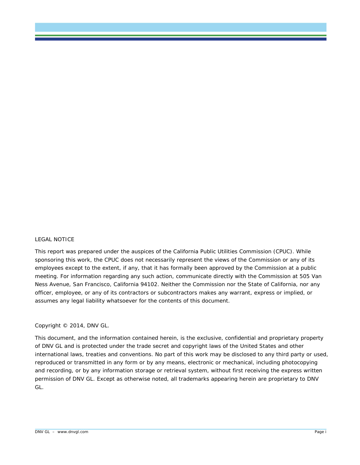#### LEGAL NOTICE

This report was prepared under the auspices of the California Public Utilities Commission (CPUC). While sponsoring this work, the CPUC does not necessarily represent the views of the Commission or any of its employees except to the extent, if any, that it has formally been approved by the Commission at a public meeting. For information regarding any such action, communicate directly with the Commission at 505 Van Ness Avenue, San Francisco, California 94102. Neither the Commission nor the State of California, nor any officer, employee, or any of its contractors or subcontractors makes any warrant, express or implied, or assumes any legal liability whatsoever for the contents of this document.

#### Copyright © 2014, DNV GL.

This document, and the information contained herein, is the exclusive, confidential and proprietary property of DNV GL and is protected under the trade secret and copyright laws of the United States and other international laws, treaties and conventions. No part of this work may be disclosed to any third party or used, reproduced or transmitted in any form or by any means, electronic or mechanical, including photocopying and recording, or by any information storage or retrieval system, without first receiving the express written permission of DNV GL. Except as otherwise noted, all trademarks appearing herein are proprietary to DNV GL.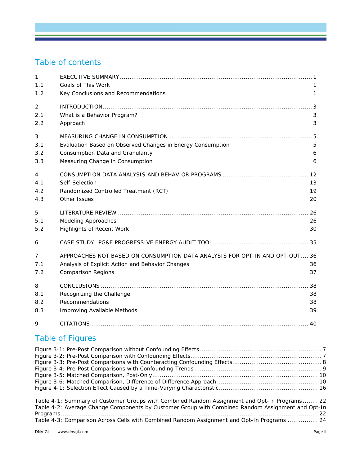# Table of contents

| 1              |                                                                             |    |
|----------------|-----------------------------------------------------------------------------|----|
| 1.1            | Goals of This Work                                                          |    |
| 1.2            | Key Conclusions and Recommendations                                         | 1  |
| $\overline{c}$ |                                                                             |    |
| 2.1            | What is a Behavior Program?                                                 | 3  |
| 2.2            | Approach                                                                    | 3  |
| 3              |                                                                             |    |
| 3.1            | Evaluation Based on Observed Changes in Energy Consumption                  | 5  |
| 3.2            | Consumption Data and Granularity                                            | 6  |
| 3.3            | Measuring Change in Consumption                                             | 6  |
| 4              |                                                                             |    |
| 4.1            | Self-Selection                                                              | 13 |
| 4.2            | Randomized Controlled Treatment (RCT)                                       | 19 |
| 4.3            | Other Issues                                                                | 20 |
| 5              |                                                                             |    |
| 5.1            | <b>Modeling Approaches</b>                                                  | 26 |
| 5.2            | <b>Highlights of Recent Work</b>                                            | 30 |
| 6              |                                                                             |    |
| 7              | APPROACHES NOT BASED ON CONSUMPTION DATA ANALYSIS FOR OPT-IN AND OPT-OUT 36 |    |
| 7.1            | Analysis of Explicit Action and Behavior Changes                            | 36 |
| 7.2            | <b>Comparison Regions</b>                                                   | 37 |
| 8              |                                                                             |    |
| 8.1            | Recognizing the Challenge                                                   | 38 |
| 8.2            | Recommendations                                                             | 38 |
| 8.3            | Improving Available Methods                                                 | 39 |
| 9              |                                                                             |    |
|                | <b>Table of Figures</b>                                                     |    |
|                |                                                                             |    |

| Table 4-1: Summary of Customer Groups with Combined Random Assignment and Opt-In Programs 22      |  |
|---------------------------------------------------------------------------------------------------|--|
| Table 4-2: Average Change Components by Customer Group with Combined Random Assignment and Opt-In |  |
|                                                                                                   |  |
| Table 4-3: Comparison Across Cells with Combined Random Assignment and Opt-In Programs  24        |  |

[Figure 3-3: Pre-Post Comparisons with Counteracting Confounding Effects...............................................8](#page-12-0) [Figure 3-4: Pre-Post Comparisons with Confounding Trends](#page-13-0) ...................................................................9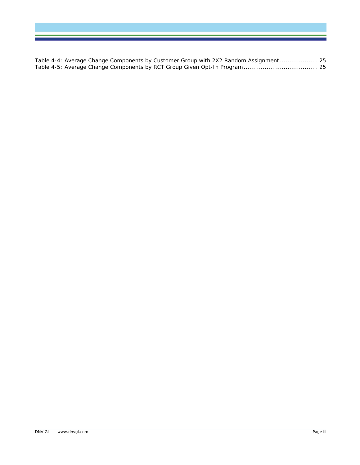[Table 4-4: Average Change Components by Customer Group with 2X2 Random Assignment....................](#page-29-0) 25 [Table 4-5: Average Change Components by RCT Group Given Opt-In Program.......................................](#page-29-1) 25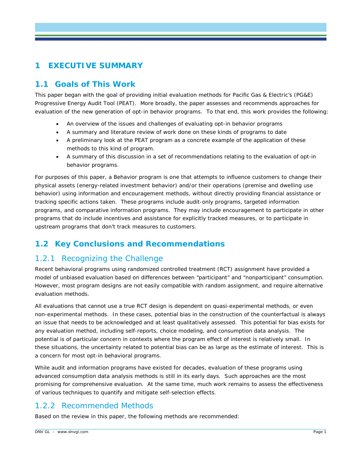# **1 EXECUTIVE SUMMARY**

# **1.1 Goals of This Work**

This paper began with the goal of providing initial evaluation methods for Pacific Gas & Electric's (PG&E) Progressive Energy Audit Tool (PEAT). More broadly, the paper assesses and recommends approaches for evaluation of the new generation of opt-in behavior programs. To that end, this work provides the following:

- An overview of the issues and challenges of evaluating opt-in behavior programs
- A summary and literature review of work done on these kinds of programs to date
- A preliminary look at the PEAT program as a concrete example of the application of these methods to this kind of program.
- A summary of this discussion in a set of recommendations relating to the evaluation of opt-in behavior programs.

For purposes of this paper, a Behavior program is one that attempts to influence customers to change their physical assets (energy-related investment behavior) and/or their operations (premise and dwelling use behavior) using information and encouragement methods, without directly providing financial assistance or tracking specific actions taken. These programs include audit-only programs, targeted information programs, and comparative information programs. They may include encouragement to participate in other programs that do include incentives and assistance for explicitly tracked measures, or to participate in upstream programs that don't track measures to customers.

# **1.2 Key Conclusions and Recommendations**

## 1.2.1 Recognizing the Challenge

Recent behavioral programs using randomized controlled treatment (RCT) assignment have provided a model of unbiased evaluation based on differences between "participant" and "nonparticipant" consumption. However, most program designs are not easily compatible with random assignment, and require alternative evaluation methods.

All evaluations that cannot use a true RCT design is dependent on quasi-experimental methods, or even non-experimental methods. In these cases, potential bias in the construction of the counterfactual is always an issue that needs to be acknowledged and at least qualitatively assessed. This potential for bias exists for any evaluation method, including self-reports, choice modeling, and consumption data analysis. The potential is of particular concern in contexts where the program effect of interest is relatively small. In these situations, the uncertainty related to potential bias can be as large as the estimate of interest. This is a concern for most opt-in behavioral programs.

While audit and information programs have existed for decades, evaluation of these programs using advanced consumption data analysis methods is still in its early days. Such approaches are the most promising for comprehensive evaluation. At the same time, much work remains to assess the effectiveness of various techniques to quantify and mitigate self-selection effects.

## 1.2.2 Recommended Methods

Based on the review in this paper, the following methods are recommended: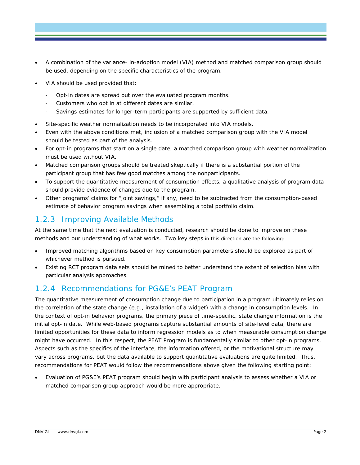- A combination of the variance- in-adoption model (VIA) method and matched comparison group should be used, depending on the specific characteristics of the program.
- VIA should be used provided that:
	- Opt-in dates are spread out over the evaluated program months.
	- Customers who opt in at different dates are similar.
	- Savings estimates for longer-term participants are supported by sufficient data.
- Site-specific weather normalization needs to be incorporated into VIA models.
- Even with the above conditions met, inclusion of a matched comparison group with the VIA model should be tested as part of the analysis.
- For opt-in programs that start on a single date, a matched comparison group with weather normalization must be used without VIA.
- Matched comparison groups should be treated skeptically if there is a substantial portion of the participant group that has few good matches among the nonparticipants.
- To support the quantitative measurement of consumption effects, a qualitative analysis of program data should provide evidence of changes due to the program.
- Other programs' claims for "joint savings," if any, need to be subtracted from the consumption-based estimate of behavior program savings when assembling a total portfolio claim.

# 1.2.3 Improving Available Methods

At the same time that the next evaluation is conducted, research should be done to improve on these methods and our understanding of what works. Two key steps in this direction are the following:

- Improved matching algorithms based on key consumption parameters should be explored as part of whichever method is pursued.
- Existing RCT program data sets should be mined to better understand the extent of selection bias with particular analysis approaches.

## 1.2.4 Recommendations for PG&E's PEAT Program

The quantitative measurement of consumption change due to participation in a program ultimately relies on the correlation of the state change (e.g., installation of a widget) with a change in consumption levels. In the context of opt-in behavior programs, the primary piece of time-specific, state change information is the initial opt-in date. While web-based programs capture substantial amounts of site-level data, there are limited opportunities for these data to inform regression models as to when measurable consumption change might have occurred. In this respect, the PEAT Program is fundamentally similar to other opt-in programs. Aspects such as the specifics of the interface, the information offered, or the motivational structure may vary across programs, but the data available to support quantitative evaluations are quite limited. Thus, recommendations for PEAT would follow the recommendations above given the following starting point:

• Evaluation of PG&E's PEAT program should begin with participant analysis to assess whether a VIA or matched comparison group approach would be more appropriate.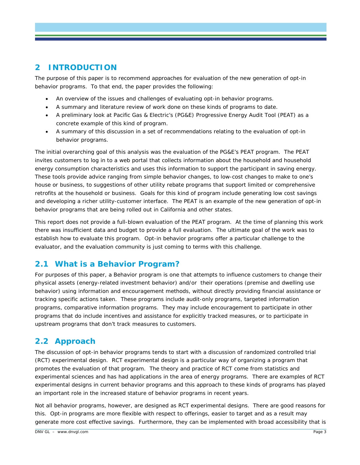# **2 INTRODUCTION**

The purpose of this paper is to recommend approaches for evaluation of the new generation of opt-in behavior programs. To that end, the paper provides the following:

- An overview of the issues and challenges of evaluating opt-in behavior programs.
- A summary and literature review of work done on these kinds of programs to date.
- A preliminary look at Pacific Gas & Electric's (PG&E) Progressive Energy Audit Tool (PEAT) as a concrete example of this kind of program.
- A summary of this discussion in a set of recommendations relating to the evaluation of opt-in behavior programs.

The initial overarching goal of this analysis was the evaluation of the PG&E's PEAT program. The PEAT invites customers to log in to a web portal that collects information about the household and household energy consumption characteristics and uses this information to support the participant in saving energy. These tools provide advice ranging from simple behavior changes, to low-cost changes to make to one's house or business, to suggestions of other utility rebate programs that support limited or comprehensive retrofits at the household or business. Goals for this kind of program include generating low cost savings and developing a richer utility-customer interface. The PEAT is an example of the new generation of opt-in behavior programs that are being rolled out in California and other states.

This report does not provide a full-blown evaluation of the PEAT program. At the time of planning this work there was insufficient data and budget to provide a full evaluation. The ultimate goal of the work was to establish how to evaluate this program. Opt-in behavior programs offer a particular challenge to the evaluator, and the evaluation community is just coming to terms with this challenge.

# **2.1 What is a Behavior Program?**

For purposes of this paper, a Behavior program is one that attempts to influence customers to change their physical assets (energy-related investment behavior) and/or their operations (premise and dwelling use behavior) using information and encouragement methods, without directly providing financial assistance or tracking specific actions taken. These programs include audit-only programs, targeted information programs, comparative information programs. They may include encouragement to participate in other programs that do include incentives and assistance for explicitly tracked measures, or to participate in upstream programs that don't track measures to customers.

# **2.2 Approach**

The discussion of opt-in behavior programs tends to start with a discussion of randomized controlled trial (RCT) experimental design. RCT experimental design is a particular way of organizing a program that promotes the evaluation of that program. The theory and practice of RCT come from statistics and experimental sciences and has had applications in the area of energy programs. There are examples of RCT experimental designs in current behavior programs and this approach to these kinds of programs has played an important role in the increased stature of behavior programs in recent years.

Not all behavior programs, however, are designed as RCT experimental designs. There are good reasons for this. Opt-in programs are more flexible with respect to offerings, easier to target and as a result may generate more cost effective savings. Furthermore, they can be implemented with broad accessibility that is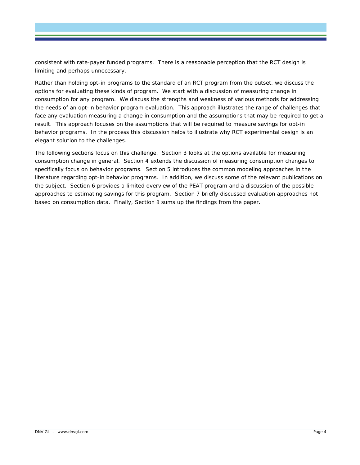consistent with rate-payer funded programs. There is a reasonable perception that the RCT design is limiting and perhaps unnecessary.

Rather than holding opt-in programs to the standard of an RCT program from the outset, we discuss the options for evaluating these kinds of program. We start with a discussion of measuring change in consumption for any program. We discuss the strengths and weakness of various methods for addressing the needs of an opt-in behavior program evaluation. This approach illustrates the range of challenges that face any evaluation measuring a change in consumption and the assumptions that may be required to get a result. This approach focuses on the assumptions that will be required to measure savings for opt-in behavior programs. In the process this discussion helps to illustrate why RCT experimental design is an elegant solution to the challenges.

The following sections focus on this challenge. Section 3 looks at the options available for measuring consumption change in general. Section 4 extends the discussion of measuring consumption changes to specifically focus on behavior programs. Section 5 introduces the common modeling approaches in the literature regarding opt-in behavior programs. In addition, we discuss some of the relevant publications on the subject. Section [6](#page-39-0) provides a limited overview of the PEAT program and a discussion of the possible approaches to estimating savings for this program. Section [7](#page-40-0) briefly discussed evaluation approaches not based on consumption data. Finally, Section [8](#page-42-0) sums up the findings from the paper.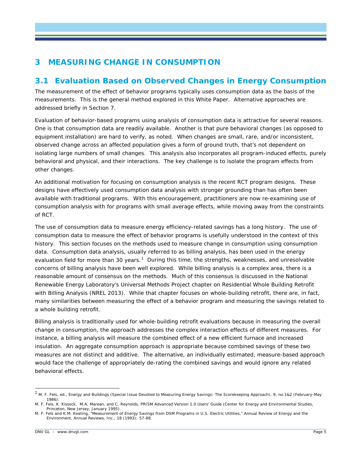# **3 MEASURING CHANGE IN CONSUMPTION**

# **3.1 Evaluation Based on Observed Changes in Energy Consumption**

The measurement of the effect of behavior programs typically uses consumption data as the basis of the measurements. This is the general method explored in this White Paper. Alternative approaches are addressed briefly in Section [7.](#page-40-0)

Evaluation of behavior-based programs using analysis of consumption data is attractive for several reasons. One is that consumption data are readily available. Another is that pure behavioral changes (as opposed to equipment installation) are hard to verify, as noted. When changes are small, rare, and/or inconsistent, observed change across an affected population gives a form of ground truth, that's not dependent on isolating large numbers of small changes. This analysis also incorporates all program-induced effects, purely behavioral and physical, and their interactions. The key challenge is to isolate the program effects from other changes.

An additional motivation for focusing on consumption analysis is the recent RCT program designs. These designs have effectively used consumption data analysis with stronger grounding than has often been available with traditional programs. With this encouragement, practitioners are now re-examining use of consumption analysis with for programs with small average effects, while moving away from the constraints of RCT.

The use of consumption data to measure energy efficiency-related savings has a long history. The use of consumption data to measure the effect of behavior programs is usefully understood in the context of this history. This section focuses on the methods used to measure change in consumption using consumption data. Consumption data analysis, usually referred to as billing analysis, has been used in the energy evaluation field for more than 30 years.<sup>[1](#page-9-0)</sup> During this time, the strengths, weaknesses, and unresolvable concerns of billing analysis have been well explored. While billing analysis is a complex area, there is a reasonable amount of consensus on the methods. Much of this consensus is discussed in the National Renewable Energy Laboratory's Universal Methods Project chapter on Residential Whole Building Retrofit with Billing Analysis (NREL 2013). While that chapter focuses on whole-building retrofit, there are, in fact, many similarities between measuring the effect of a behavior program and measuring the savings related to a whole building retrofit.

Billing analysis is traditionally used for whole-building retrofit evaluations because in measuring the overall change in consumption, the approach addresses the complex interaction effects of different measures. For instance, a billing analysis will measure the combined effect of a new efficient furnace and increased insulation. An aggregate consumption approach is appropriate because combined savings of these two measures are not distinct and additive. The alternative, an individually estimated, measure-based approach would face the challenge of appropriately de-rating the combined savings and would ignore any related behavioral effects.

<span id="page-9-0"></span> <sup>1</sup> M. F. Fels, ed., *Energy and Buildings* (Special Issue Devoted to Measuring Energy Savings: The Scorekeeping Approach), 9, no.1&2 (February-May 1986).

M. F. Fels, K. Kissock, M.A. Marean, and C. Reynolds, *PRISM Advanced Version 1.0 Users' Guide* (Center for Energy and Environmental Studies, Princeton, New Jersey, January 1995).

M. F. Fels and K.M. Keating, "Measurement of Energy Savings from DSM Programs in U.S. Electric Utilities," *Annual Review of Energy and the Environment*, Annual Reviews, Inc., 18 (1993): 57-88.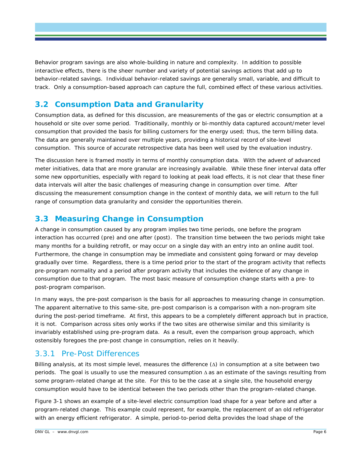Behavior program savings are also whole-building in nature and complexity. In addition to possible interactive effects, there is the sheer number and variety of potential savings actions that add up to behavior-related savings. Individual behavior-related savings are generally small, variable, and difficult to track. Only a consumption-based approach can capture the full, combined effect of these various activities.

# **3.2 Consumption Data and Granularity**

Consumption data, as defined for this discussion, are measurements of the gas or electric consumption at a household or site over some period. Traditionally, monthly or bi-monthly data captured account/meter level consumption that provided the basis for billing customers for the energy used; thus, the term billing data. The data are generally maintained over multiple years, providing a historical record of site-level consumption. This source of accurate retrospective data has been well used by the evaluation industry.

The discussion here is framed mostly in terms of monthly consumption data. With the advent of advanced meter initiatives, data that are more granular are increasingly available. While these finer interval data offer some new opportunities, especially with regard to looking at peak load effects, it is not clear that these finer data intervals will alter the basic challenges of measuring change in consumption over time. After discussing the measurement consumption change in the context of monthly data, we will return to the full range of consumption data granularity and consider the opportunities therein.

# <span id="page-10-0"></span>**3.3 Measuring Change in Consumption**

A change in consumption caused by any program implies two time periods, one before the program interaction has occurred (pre) and one after (post). The transition time between the two periods might take many months for a building retrofit, or may occur on a single day with an entry into an online audit tool. Furthermore, the change in consumption may be immediate and consistent going forward or may develop gradually over time. Regardless, there is a time period prior to the start of the program activity that reflects pre-program normality and a period after program activity that includes the evidence of any change in consumption due to that program. The most basic measure of consumption change starts with a pre- to post-program comparison.

In many ways, the pre-post comparison is the basis for all approaches to measuring change in consumption. The apparent alternative to this same-site, pre-post comparison is a comparison with a non-program site during the post-period timeframe. At first, this appears to be a completely different approach but in practice, it is not. Comparison across sites only works if the two sites are otherwise similar and this similarity is invariably established using pre-program data. As a result, even the comparison group approach, which ostensibly foregoes the pre-post change in consumption, relies on it heavily.

# 3.3.1 Pre-Post Differences

Billing analysis, at its most simple level, measures the difference (∆) in consumption at a site between two periods. The goal is usually to use the measured consumption ∆ as an estimate of the savings resulting from some program-related change at the site. For this to be the case at a single site, the household energy consumption would have to be identical between the two periods other than the program-related change.

[Figure 3-1](#page-11-0) shows an example of a site-level electric consumption load shape for a year before and after a program-related change. This example could represent, for example, the replacement of an old refrigerator with an energy efficient refrigerator. A simple, period-to-period delta provides the load shape of the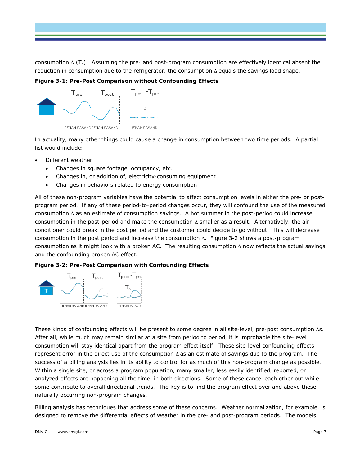consumption ∆ (T∆). Assuming the pre- and post-program consumption are effectively identical absent the reduction in consumption due to the refrigerator, the consumption ∆ equals the savings load shape.

<span id="page-11-0"></span>**Figure 3-1: Pre-Post Comparison without Confounding Effects**



In actuality, many other things could cause a change in consumption between two time periods. A partial list would include:

- Different weather
	- Changes in square footage, occupancy, etc.
	- Changes in, or addition of, electricity-consuming equipment
	- Changes in behaviors related to energy consumption

All of these non-program variables have the potential to affect consumption levels in either the pre- or postprogram period. If any of these period-to-period changes occur, they will confound the use of the measured consumption ∆ as an estimate of consumption savings. A hot summer in the post-period could increase consumption in the post-period and make the consumption ∆ smaller as a result. Alternatively, the air conditioner could break in the post period and the customer could decide to go without. This will decrease consumption in the post period and increase the consumption ∆. [Figure 3-2](#page-11-1) shows a post-program consumption as it might look with a broken AC. The resulting consumption ∆ now reflects the actual savings and the confounding broken AC effect.

<span id="page-11-1"></span>



These kinds of confounding effects will be present to some degree in all site-level, pre-post consumption ∆s. After all, while much may remain similar at a site from period to period, it is improbable the site-level consumption will stay identical apart from the program effect itself. These site-level confounding effects represent error in the direct use of the consumption ∆ as an estimate of savings due to the program. The success of a billing analysis lies in its ability to control for as much of this non-program change as possible. Within a single site, or across a program population, many smaller, less easily identified, reported, or analyzed effects are happening all the time, in both directions. Some of these cancel each other out while some contribute to overall directional trends. The key is to find the program effect over and above these naturally occurring non-program changes.

Billing analysis has techniques that address some of these concerns. Weather normalization, for example, is designed to remove the differential effects of weather in the pre- and post-program periods. The models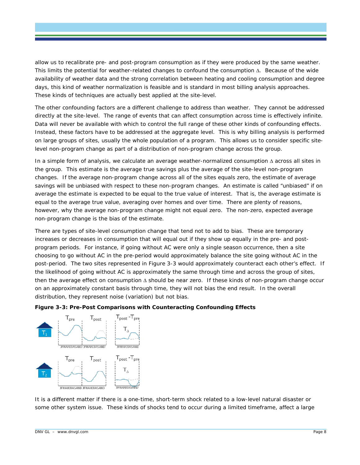allow us to recalibrate pre- and post-program consumption as if they were produced by the same weather. This limits the potential for weather-related changes to confound the consumption ∆. Because of the wide availability of weather data and the strong correlation between heating and cooling consumption and degree days, this kind of weather normalization is feasible and is standard in most billing analysis approaches. These kinds of techniques are actually best applied at the site-level.

The other confounding factors are a different challenge to address than weather. They cannot be addressed directly at the site-level. The range of events that can affect consumption across time is effectively infinite. Data will never be available with which to control the full range of these other kinds of confounding effects. Instead, these factors have to be addressed at the aggregate level. This is why billing analysis is performed on large groups of sites, usually the whole population of a program. This allows us to consider specific sitelevel non-program change as part of a distribution of non-program change across the group.

In a simple form of analysis, we calculate an average weather-normalized consumption ∆ across all sites in the group. This estimate is the average true savings plus the average of the site-level non-program changes. If the average non-program change across all of the sites equals zero, the estimate of average savings will be unbiased with respect to these non-program changes. An estimate is called "unbiased" if on average the estimate is expected to be equal to the true value of interest. That is, the average estimate is equal to the average true value, averaging over homes and over time. There are plenty of reasons, however, why the average non-program change might not equal zero. The non-zero, expected average non-program change is the bias of the estimate.

There are types of site-level consumption change that tend not to add to bias. These are temporary increases or decreases in consumption that will equal out if they show up equally in the pre- and postprogram periods. For instance, if going without AC were only a single season occurrence, then a site choosing to go without AC in the pre-period would approximately balance the site going without AC in the post-period. The two sites represented in [Figure 3-3](#page-12-0) would approximately counteract each other's effect. If the likelihood of going without AC is approximately the same through time and across the group of sites, then the average effect on consumption ∆ should be near zero. If these kinds of non-program change occur on an approximately constant basis through time, they will not bias the end result. In the overall distribution, they represent noise (variation) but not bias.

#### <span id="page-12-0"></span>**Figure 3-3: Pre-Post Comparisons with Counteracting Confounding Effects**



It is a different matter if there is a one-time, short-term shock related to a low-level natural disaster or some other system issue. These kinds of shocks tend to occur during a limited timeframe, affect a large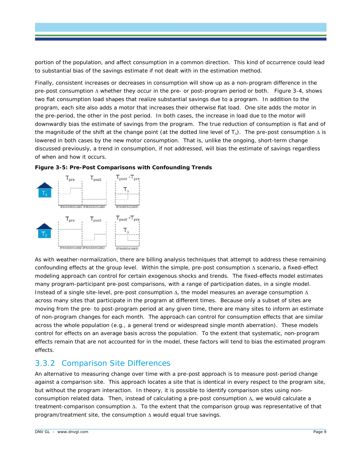portion of the population, and affect consumption in a common direction. This kind of occurrence could lead to substantial bias of the savings estimate if not dealt with in the estimation method.

Finally, consistent increases or decreases in consumption will show up as a non-program difference in the pre-post consumption ∆ whether they occur in the pre- or post-program period or both. Figure 3-4, shows two flat consumption load shapes that realize substantial savings due to a program. In addition to the program, each site also adds a motor that increases their otherwise flat load. One site adds the motor in the pre-period, the other in the post period. In both cases, the increase in load due to the motor will downwardly bias the estimate of savings from the program. The true reduction of consumption is flat and of the magnitude of the shift at the change point (at the dotted line level of  $T_{\Delta}$ ). The pre-post consumption  $\Delta$  is lowered in both cases by the new motor consumption. That is, unlike the ongoing, short-term change discussed previously, a trend in consumption, if not addressed, will bias the estimate of savings regardless of when and how it occurs.



<span id="page-13-0"></span>

As with weather-normalization, there are billing analysis techniques that attempt to address these remaining confounding effects at the group level. Within the simple, pre-post consumption ∆ scenario, a fixed-effect modeling approach can control for certain exogenous shocks and trends. The fixed-effects model estimates many program-participant pre-post comparisons, with a range of participation dates, in a single model. Instead of a single site-level, pre-post consumption ∆, the model measures an average consumption ∆ across many sites that participate in the program at different times. Because only a subset of sites are moving from the pre- to post-program period at any given time, there are many sites to inform an estimate of non-program changes for each month. The approach can control for consumption effects that are similar across the whole population (e.g., a general trend or widespread single month aberration). These models control for effects on an average basis across the population. To the extent that systematic, non-program effects remain that are not accounted for in the model, these factors will tend to bias the estimated program effects.

# 3.3.2 Comparison Site Differences

An alternative to measuring change over time with a pre-post approach is to measure post-period change against a comparison site. This approach locates a site that is identical in every respect to the program site, but without the program interaction. In theory, it is possible to identify comparison sites using nonconsumption related data. Then, instead of calculating a pre-post consumption ∆, we would calculate a treatment-comparison consumption ∆. To the extent that the comparison group was representative of that program/treatment site, the consumption ∆ would equal true savings.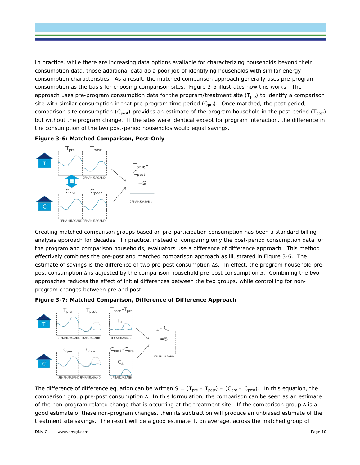In practice, while there are increasing data options available for characterizing households beyond their consumption data, those additional data do a poor job of identifying households with similar energy consumption characteristics. As a result, the matched comparison approach generally uses pre-program consumption as the basis for choosing comparison sites. [Figure 3-5](#page-14-0) illustrates how this works. The approach uses pre-program consumption data for the program/treatment site  $(T_{pre})$  to identify a comparison site with similar consumption in that pre-program time period (C<sub>pre</sub>). Once matched, the post period, comparison site consumption (C<sub>post</sub>) provides an estimate of the program household in the post period (T<sub>post</sub>), but without the program change. If the sites were identical except for program interaction, the difference in the consumption of the two post-period households would equal savings.

#### <span id="page-14-0"></span>**Figure 3-6: Matched Comparison, Post-Only**



Creating matched comparison groups based on pre-participation consumption has been a standard billing analysis approach for decades. In practice, instead of comparing only the post-period consumption data for the program and comparison households, evaluators use a difference of difference approach. This method effectively combines the pre-post and matched comparison approach as illustrated in [Figure 3-6.](#page-14-1) The estimate of savings is the difference of two pre-post consumption ∆s. In effect, the program household prepost consumption ∆ is adjusted by the comparison household pre-post consumption ∆. Combining the two approaches reduces the effect of initial differences between the two groups, while controlling for nonprogram changes between pre and post.

#### <span id="page-14-1"></span>**Figure 3-7: Matched Comparison, Difference of Difference Approach**



The difference of difference equation can be written  $S = (T_{pre} - T_{post}) - (C_{pre} - C_{post})$ . In this equation, the comparison group pre-post consumption ∆. In this formulation, the comparison can be seen as an estimate of the non-program related change that is occurring at the treatment site. If the comparison group ∆ is a good estimate of these non-program changes, then its subtraction will produce an unbiased estimate of the treatment site savings. The result will be a good estimate if, on average, across the matched group of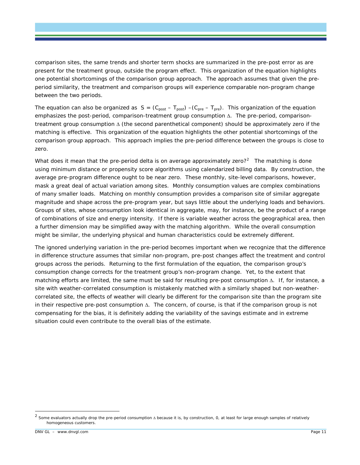comparison sites, the same trends and shorter term shocks are summarized in the pre-post error as are present for the treatment group, outside the program effect. This organization of the equation highlights one potential shortcomings of the comparison group approach. The approach assumes that given the preperiod similarity, the treatment and comparison groups will experience comparable non-program change between the two periods.

The equation can also be organized as  $S = (C_{post} - T_{post}) - (C_{pre} - T_{pre})$ . This organization of the equation emphasizes the post-period, comparison-treatment group consumption ∆. The pre-period, comparisontreatment group consumption ∆ (the second parenthetical component) should be approximately zero if the matching is effective. This organization of the equation highlights the other potential shortcomings of the comparison group approach. This approach implies the pre-period difference between the groups is close to zero.

What does it mean that the pre-period delta is on average approximately zero?<sup>[2](#page-15-0)</sup> The matching is done using minimum distance or propensity score algorithms using calendarized billing data. By construction, the average pre-program difference ought to be near zero. These monthly, site-level comparisons, however, mask a great deal of actual variation among sites. Monthly consumption values are complex combinations of many smaller loads. Matching on monthly consumption provides a comparison site of similar aggregate magnitude and shape across the pre-program year, but says little about the underlying loads and behaviors. Groups of sites, whose consumption look identical in aggregate, may, for instance, be the product of a range of combinations of size and energy intensity. If there is variable weather across the geographical area, then a further dimension may be simplified away with the matching algorithm. While the overall consumption might be similar, the underlying physical and human characteristics could be extremely different.

The ignored underlying variation in the pre-period becomes important when we recognize that the difference in difference structure assumes that similar non-program, pre-post changes affect the treatment and control groups across the periods. Returning to the first formulation of the equation, the comparison group's consumption change corrects for the treatment group's non-program change. Yet, to the extent that matching efforts are limited, the same must be said for resulting pre-post consumption ∆. If, for instance, a site with weather-correlated consumption is mistakenly matched with a similarly shaped but non-weathercorrelated site, the effects of weather will clearly be different for the comparison site than the program site in their respective pre-post consumption ∆. The concern, of course, is that if the comparison group is not compensating for the bias, it is definitely adding the variability of the savings estimate and in extreme situation could even contribute to the overall bias of the estimate.

<span id="page-15-0"></span> <sup>2</sup> Some evaluators actually drop the pre-period consumption <sup>∆</sup> because it is, by construction, 0, at least for large enough samples of relatively homogeneous customers.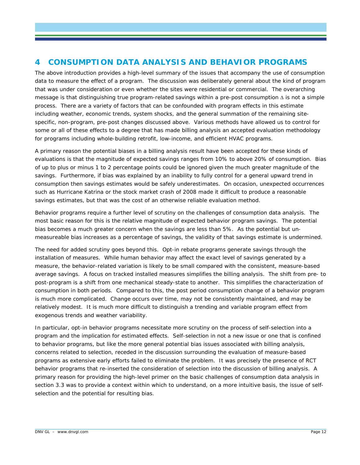# **4 CONSUMPTION DATA ANALYSIS AND BEHAVIOR PROGRAMS**

The above introduction provides a high-level summary of the issues that accompany the use of consumption data to measure the effect of a program. The discussion was deliberately general about the kind of program that was under consideration or even whether the sites were residential or commercial. The overarching message is that distinguishing true program-related savings within a pre-post consumption ∆ is not a simple process. There are a variety of factors that can be confounded with program effects in this estimate including weather, economic trends, system shocks, and the general summation of the remaining sitespecific, non-program, pre-post changes discussed above. Various methods have allowed us to control for some or all of these effects to a degree that has made billing analysis an accepted evaluation methodology for programs including whole-building retrofit, low-income, and efficient HVAC programs.

A primary reason the potential biases in a billing analysis result have been accepted for these kinds of evaluations is that the magnitude of expected savings ranges from 10% to above 20% of consumption. Bias of up to plus or minus 1 to 2 percentage points could be ignored given the much greater magnitude of the savings. Furthermore, if bias was explained by an inability to fully control for a general upward trend in consumption then savings estimates would be safely underestimates. On occasion, unexpected occurrences such as Hurricane Katrina or the stock market crash of 2008 made it difficult to produce a reasonable savings estimates, but that was the cost of an otherwise reliable evaluation method.

Behavior programs require a further level of scrutiny on the challenges of consumption data analysis. The most basic reason for this is the relative magnitude of expected behavior program savings. The potential bias becomes a much greater concern when the savings are less than 5%. As the potential but unmeasureable bias increases as a percentage of savings, the validity of that savings estimate is undermined.

The need for added scrutiny goes beyond this. Opt-in rebate programs generate savings through the installation of measures. While human behavior may affect the exact level of savings generated by a measure, the behavior-related variation is likely to be small compared with the consistent, measure-based average savings. A focus on tracked installed measures simplifies the billing analysis. The shift from pre- to post-program is a shift from one mechanical steady-state to another. This simplifies the characterization of consumption in both periods. Compared to this, the post period consumption change of a behavior program is much more complicated. Change occurs over time, may not be consistently maintained, and may be relatively modest. It is much more difficult to distinguish a trending and variable program effect from exogenous trends and weather variability.

In particular, opt-in behavior programs necessitate more scrutiny on the process of self-selection into a program and the implication for estimated effects. Self-selection in not a new issue or one that is confined to behavior programs, but like the more general potential bias issues associated with billing analysis, concerns related to selection, receded in the discussion surrounding the evaluation of measure-based programs as extensive early efforts failed to eliminate the problem. It was precisely the presence of RCT behavior programs that re-inserted the consideration of selection into the discussion of billing analysis. A primary reason for providing the high-level primer on the basic challenges of consumption data analysis in section 3.3 was to provide a context within which to understand, on a more intuitive basis, the issue of selfselection and the potential for resulting bias.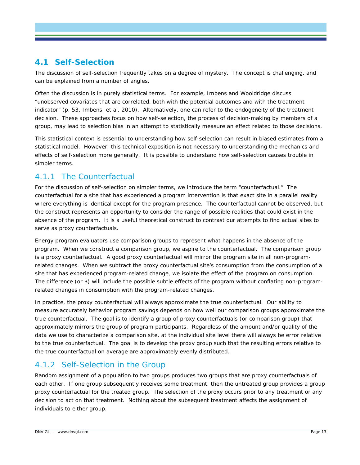# **4.1 Self-Selection**

The discussion of self-selection frequently takes on a degree of mystery. The concept is challenging, and can be explained from a number of angles.

Often the discussion is in purely statistical terms. For example, Imbens and Wooldridge discuss "unobserved covariates that are correlated, both with the potential outcomes and with the treatment indicator" (p. 53, Imbens, et al, 2010). Alternatively, one can refer to the endogeneity of the treatment decision. These approaches focus on how self-selection, the process of decision-making by members of a group, may lead to selection bias in an attempt to statistically measure an effect related to those decisions.

This statistical context is essential to understanding how self-selection can result in biased estimates from a statistical model. However, this technical exposition is not necessary to understanding the mechanics and effects of self-selection more generally. It is possible to understand how self-selection causes trouble in simpler terms.

# 4.1.1 The Counterfactual

For the discussion of self-selection on simpler terms, we introduce the term "counterfactual." The counterfactual for a site that has experienced a program intervention is that exact site in a parallel reality where everything is identical except for the program presence. The counterfactual cannot be observed, but the construct represents an opportunity to consider the range of possible realities that could exist in the absence of the program. It is a useful theoretical construct to contrast our attempts to find actual sites to serve as proxy counterfactuals.

Energy program evaluators use comparison groups to represent what happens in the absence of the program. When we construct a comparison group, we aspire to the counterfactual. The comparison group is a proxy counterfactual. A good proxy counterfactual will mirror the program site in all non-programrelated changes. When we subtract the proxy counterfactual site's consumption from the consumption of a site that has experienced program-related change, we isolate the effect of the program on consumption. The difference (or ∆) will include the possible subtle effects of the program without conflating non-programrelated changes in consumption with the program-related changes.

In practice, the proxy counterfactual will always approximate the true counterfactual. Our ability to measure accurately behavior program savings depends on how well our comparison groups approximate the true counterfactual. The goal is to identify a group of proxy counterfactuals (or comparison group) that approximately mirrors the group of program participants. Regardless of the amount and/or quality of the data we use to characterize a comparison site, at the individual site level there will always be error relative to the true counterfactual. The goal is to develop the proxy group such that the resulting errors relative to the true counterfactual on average are approximately evenly distributed.

# 4.1.2 Self-Selection in the Group

Random assignment of a population to two groups produces two groups that are proxy counterfactuals of each other. If one group subsequently receives some treatment, then the untreated group provides a group proxy counterfactual for the treated group. The selection of the proxy occurs prior to any treatment or any decision to act on that treatment. Nothing about the subsequent treatment affects the assignment of individuals to either group.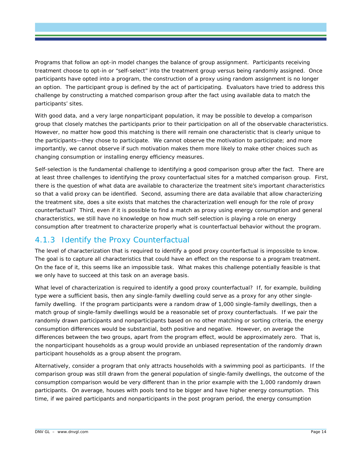Programs that follow an opt-in model changes the balance of group assignment. Participants receiving treatment choose to opt-in or "self-select" into the treatment group versus being randomly assigned. Once participants have opted into a program, the construction of a proxy using random assignment is no longer an option. The participant group is defined by the act of participating. Evaluators have tried to address this challenge by constructing a matched comparison group after the fact using available data to match the participants' sites.

With good data, and a very large nonparticipant population, it may be possible to develop a comparison group that closely matches the participants prior to their participation on all of the observable characteristics. However, no matter how good this matching is there will remain one characteristic that is clearly unique to the participants—they chose to participate. We cannot observe the motivation to participate; and more importantly, we cannot observe if such motivation makes them more likely to make other choices such as changing consumption or installing energy efficiency measures.

Self-selection is the fundamental challenge to identifying a good comparison group after the fact. There are at least three challenges to identifying the proxy counterfactual sites for a matched comparison group. First, there is the question of what data are available to characterize the treatment site's important characteristics so that a valid proxy can be identified. Second, assuming there are data available that allow characterizing the treatment site, does a site exists that matches the characterization well enough for the role of proxy counterfactual? Third, even if it is possible to find a match as proxy using energy consumption and general characteristics, we still have no knowledge on how much self-selection is playing a role on energy consumption after treatment to characterize properly what is counterfactual behavior without the program.

# 4.1.3 Identify the Proxy Counterfactual

The level of characterization that is required to identify a good proxy counterfactual is impossible to know. The goal is to capture all characteristics that could have an effect on the response to a program treatment. On the face of it, this seems like an impossible task. What makes this challenge potentially feasible is that we only have to succeed at this task on an average basis.

What level of characterization is required to identify a good proxy counterfactual? If, for example, building type were a sufficient basis, then any single-family dwelling could serve as a proxy for any other singlefamily dwelling. If the program participants were a random draw of 1,000 single-family dwellings, then a match group of single-family dwellings would be a reasonable set of proxy counterfactuals. If we pair the randomly drawn participants and nonparticipants based on no other matching or sorting criteria, the energy consumption differences would be substantial, both positive and negative. However, on average the differences between the two groups, apart from the program effect, would be approximately zero. That is, the nonparticipant households as a group would provide an unbiased representation of the randomly drawn participant households as a group absent the program.

Alternatively, consider a program that only attracts households with a swimming pool as participants. If the comparison group was still drawn from the general population of single-family dwellings, the outcome of the consumption comparison would be very different than in the prior example with the 1,000 randomly drawn participants. On average, houses with pools tend to be bigger and have higher energy consumption. This time, if we paired participants and nonparticipants in the post program period, the energy consumption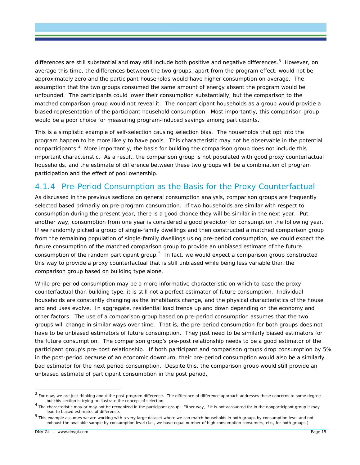differences are still substantial and may still include both positive and negative differences.<sup>[3](#page-19-0)</sup> However, on average this time, the differences between the two groups, apart from the program effect, would *not* be approximately zero and the participant households would have higher consumption on average. The assumption that the two groups consumed the same amount of energy absent the program would be unfounded. The participants could lower their consumption substantially, but the comparison to the matched comparison group would not reveal it. The nonparticipant households as a group would provide a biased representation of the participant household consumption. Most importantly, this comparison group would be a poor choice for measuring program-induced savings among participants.

This is a simplistic example of self-selection causing selection bias. The households that opt into the program happen to be more likely to have pools. This characteristic may not be observable in the potential nonparticipants.[4](#page-19-1) More importantly, the basis for building the comparison group does not include this important characteristic. As a result, the comparison group is not populated with good proxy counterfactual households, and the estimate of difference between these two groups will be a combination of program participation and the effect of pool ownership.

# 4.1.4 Pre-Period Consumption as the Basis for the Proxy Counterfactual

As discussed in the previous sections on general consumption analysis, comparison groups are frequently selected based primarily on pre-program consumption. If two households are similar with respect to consumption during the present year, there is a good chance they will be similar in the next year. Put another way, consumption from one year is considered a good predictor for consumption the following year. If we randomly picked a group of single-family dwellings and then constructed a matched comparison group from the remaining population of single-family dwellings using pre-period consumption, we could expect the future consumption of the matched comparison group to provide an unbiased estimate of the future consumption of the random participant group.<sup>[5](#page-19-2)</sup> In fact, we would expect a comparison group constructed this way to provide a proxy counterfactual that is still unbiased while being less variable than the comparison group based on building type alone.

While pre-period consumption may be a more informative characteristic on which to base the proxy counterfactual than building type, it is still not a perfect estimator of future consumption. Individual households are constantly changing as the inhabitants change, and the physical characteristics of the house and end uses evolve. In aggregate, residential load trends up and down depending on the economy and other factors. The use of a comparison group based on pre-period consumption assumes that the two groups will change in similar ways over time. That is, the pre-period consumption for both groups does not have to be unbiased estimators of future consumption. They just need to be similarly biased estimators for the future consumption. The comparison group's pre-post relationship needs to be a good estimator of the participant group's pre-post relationship. If both participant and comparison groups drop consumption by 5% in the post-period because of an economic downturn, their pre-period consumption would also be a similarly bad estimator for the next period consumption. Despite this, the comparison group would still provide an unbiased estimate of participant consumption in the post period.

<span id="page-19-0"></span> $3$  For now, we are just thinking about the post-program difference. The difference of difference approach addresses these concerns to some degree but this section is trying to illustrate the concept of selection.

<span id="page-19-1"></span> $<sup>4</sup>$  The characteristic may or may not be recognized in the participant group. Either way, if it is not accounted for in the nonparticipant group it may</sup> lead to biased estimates of difference.

<span id="page-19-2"></span><sup>5</sup> This example assumes we are working with a very large dataset where we can match households in both groups by consumption level and not exhaust the available sample by consumption level (i.e., we have equal number of high consumption consumers, etc., for both groups.)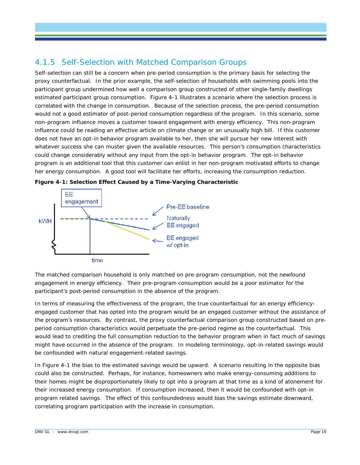# 4.1.5 Self-Selection with Matched Comparison Groups

Self-selection can still be a concern when pre-period consumption is the primary basis for selecting the proxy counterfactual. In the prior example, the self-selection of households with swimming pools into the participant group undermined how well a comparison group constructed of other single-family dwellings estimated participant group consumption. [Figure 4-1](#page-20-0) illustrates a scenario where the selection process is correlated with the change in consumption. Because of the selection process, the pre-period consumption would not a good estimator of post-period consumption regardless of the program. In this scenario, some non-program influence moves a customer toward engagement with energy efficiency. This non-program influence could be reading an effective article on climate change or an unusually high bill. If this customer does not have an opt-in behavior program available to her, then she will pursue her new interest with whatever success she can muster given the available resources. This person's consumption characteristics could change considerably without any input from the opt-in behavior program. The opt-in behavior program is an additional tool that this customer can enlist in her non-program motivated efforts to change her energy consumption. A good tool will facilitate her efforts, increasing the consumption reduction.



<span id="page-20-0"></span>**Figure 4-1: Selection Effect Caused by a Time-Varying Characteristic**

The matched comparison household is only matched on pre-program consumption, not the newfound engagement in energy efficiency. Their pre-program consumption would be a poor estimator for the participant's post-period consumption in the absence of the program.

In terms of measuring the effectiveness of the program, the true counterfactual for an energy efficiencyengaged customer that has opted into the program would be an engaged customer without the assistance of the program's resources. By contrast, the proxy counterfactual comparison group constructed based on preperiod consumption characteristics would perpetuate the pre-period regime as the counterfactual. This would lead to crediting the full consumption reduction to the behavior program when in fact much of savings might have occurred in the absence of the program. In modeling terminology, opt-in-related savings would be confounded with natural engagement-related savings.

In [Figure 4-1](#page-20-0) the bias to the estimated savings would be upward. A scenario resulting in the opposite bias could also be constructed. Perhaps, for instance, homeowners who make energy-consuming additions to their homes might be disproportionately likely to opt into a program at that time as a kind of atonement for their increased energy consumption. If consumption increased, then it would be confounded with opt-in program related savings. The effect of this confoundedness would bias the savings estimate downward, correlating program participation with the increase in consumption.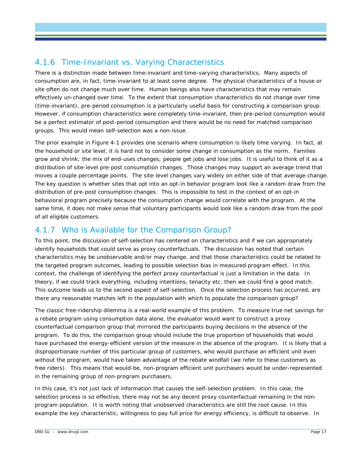# 4.1.6 Time-Invariant vs. Varying Characteristics

There is a distinction made between time-invariant and time-varying characteristics. Many aspects of consumption are, in fact, time-invariant to at least some degree. The physical characteristics of a house or site often do not change much over time. Human beings also have characteristics that may remain effectively un-changed over time. To the extent that consumption characteristics do not change over time (time-invariant), pre-period consumption is a particularly useful basis for constructing a comparison group. However, if consumption characteristics were completely time-invariant, then pre-period consumption would be a perfect estimator of post-period consumption and there would be no need for matched comparison groups. This would mean self-selection was a non-issue.

The prior example in [Figure 4-1](#page-20-0) provides one scenario where consumption is likely time varying. In fact, at the household or site level, it is hard not to consider some change in consumption as the norm. Families grow and shrink; the mix of end-uses changes; people get jobs and lose jobs. It is useful to think of it as a distribution of site-level pre-post consumption changes. Those changes may support an average trend that moves a couple percentage points. The site-level changes vary widely on either side of that average change. The key question is whether sites that opt into an opt-in behavior program look like a random draw from the distribution of pre-post consumption changes. This is impossible to test in the context of an opt-in behavioral program precisely because the consumption change would correlate with the program. At the same time, it does not make sense that voluntary participants would look like a random draw from the pool of all eligible customers.

# 4.1.7 Who is Available for the Comparison Group?

To this point, the discussion of self-selection has centered on characteristics and if we can appropriately identify households that could serve as proxy counterfactuals. The discussion has noted that certain characteristics may be unobservable and/or may change, and that those characteristics could be related to the targeted program outcomes, leading to possible selection bias in measured program effect. In this context, the challenge of identifying the perfect proxy counterfactual is just a limitation in the data. In theory, if we could track everything, including intentions, tenacity etc. then we could find a good match. This outcome leads us to the second aspect of self-selection. Once the selection process has occurred, are there any reasonable matches left in the population with which to populate the comparison group?

The classic free-ridership dilemma is a real-world example of this problem. To measure true net savings for a rebate program using consumption data alone, the evaluator would want to construct a proxy counterfactual comparison group that mirrored the participants buying decisions in the absence of the program. To do this, the comparison group should include the true proportion of households that would have purchased the energy-efficient version of the measure in the absence of the program. It is likely that a disproportionate number of this particular group of customers, who would purchase an efficient unit even without the program, would have taken advantage of the rebate windfall (we refer to these customers as free riders). This means that would-be, non-program efficient unit purchasers would be under-represented in the remaining group of non-program purchasers.

In this case, it's not just lack of information that causes the self-selection problem. In this case, the selection process is so effective, there may not be any decent proxy counterfactual remaining in the nonprogram population. It is worth noting that unobserved characteristics are still the root cause. In this example the key characteristic, willingness to pay full price for energy efficiency, is difficult to observe. In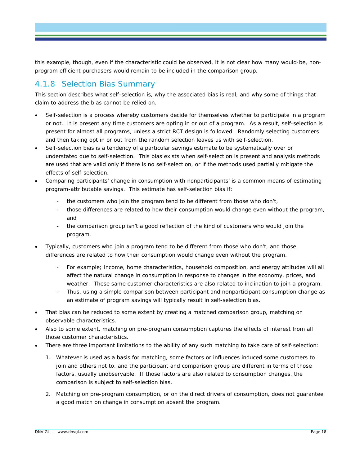this example, though, even if the characteristic could be observed, it is not clear how many would-be, nonprogram efficient purchasers would remain to be included in the comparison group.

# 4.1.8 Selection Bias Summary

This section describes what self-selection is, why the associated bias is real, and why some of things that claim to address the bias cannot be relied on.

- Self-selection is a process whereby customers decide for themselves whether to participate in a program or not. It is present any time customers are opting in or out of a program. As a result, self-selection is present for almost all programs, unless a strict RCT design is followed. Randomly selecting customers and then taking opt in or out from the random selection leaves us with self-selection.
- Self-selection bias is a tendency of a particular savings estimate to be systematically over or understated due to self-selection. This bias exists when self-selection is present and analysis methods are used that are valid only if there is no self-selection, or if the methods used partially mitigate the effects of self-selection.
- Comparing participants' change in consumption with nonparticipants' is a common means of estimating program-attributable savings. This estimate has self-selection bias if:
	- the customers who join the program tend to be different from those who don't,
	- those differences are related to how their consumption would change even without the program, and
	- the comparison group isn't a good reflection of the kind of customers who would join the program.
- Typically, customers who join a program tend to be different from those who don't, and those differences are related to how their consumption would change even without the program.
	- For example; income, home characteristics, household composition, and energy attitudes will all affect the natural change in consumption in response to changes in the economy, prices, and weather. These same customer characteristics are also related to inclination to join a program.
	- Thus, using a simple comparison between participant and nonparticipant consumption change as an estimate of program savings will typically result in self-selection bias.
- That bias can be reduced to some extent by creating a matched comparison group, matching on observable characteristics.
- Also to some extent, matching on pre-program consumption captures the effects of interest from all those customer characteristics.
- There are three important limitations to the ability of any such matching to take care of self-selection:
	- 1. Whatever is used as a basis for matching, some factors or influences induced some customers to join and others not to, and the participant and comparison group are different in terms of those factors, usually unobservable. If those factors are also related to consumption changes, the comparison is subject to self-selection bias.
	- 2. Matching on pre-program consumption, or on the direct drivers of consumption, does not guarantee a good match on *change* in consumption absent the program.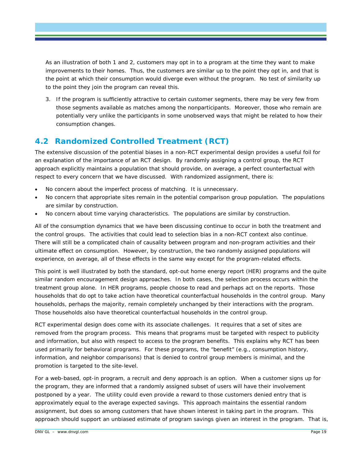As an illustration of both 1 and 2, customers may opt in to a program at the time they want to make improvements to their homes. Thus, the customers are similar up to the point they opt in, and that is the point at which their consumption would diverge even without the program. No test of similarity up to the point they join the program can reveal this.

3. If the program is sufficiently attractive to certain customer segments, there may be very few from those segments available as matches among the nonparticipants. Moreover, those who remain are potentially very unlike the participants in some unobserved ways that might be related to how their consumption changes.

# **4.2 Randomized Controlled Treatment (RCT)**

The extensive discussion of the potential biases in a non-RCT experimental design provides a useful foil for an explanation of the importance of an RCT design. By randomly assigning a control group, the RCT approach explicitly maintains a population that should provide, on average, a perfect counterfactual with respect to every concern that we have discussed. With randomized assignment, there is:

- No concern about the imperfect process of matching. It is unnecessary.
- No concern that appropriate sites remain in the potential comparison group population. The populations are similar by construction.
- No concern about time varying characteristics. The populations are similar by construction.

All of the consumption dynamics that we have been discussing continue to occur in both the treatment and the control groups. The activities that could lead to selection bias in a non-RCT context also continue. There will still be a complicated chain of causality between program and non-program activities and their ultimate effect on consumption. However, by construction, the two randomly assigned populations will experience, on average, all of these effects in the same way except for the program-related effects.

This point is well illustrated by both the standard, opt-out home energy report (HER) programs and the quite similar random encouragement design approaches. In both cases, the selection process occurs within the treatment group alone. In HER programs, people choose to read and perhaps act on the reports. Those households that do opt to take action have theoretical counterfactual households in the control group. Many households, perhaps the majority, remain completely unchanged by their interactions with the program. Those households also have theoretical counterfactual households in the control group.

RCT experimental design does come with its associate challenges. It requires that a set of sites are removed from the program process. This means that programs must be targeted with respect to publicity and information, but also with respect to access to the program benefits. This explains why RCT has been used primarily for behavioral programs. For these programs, the "benefit" (e.g., consumption history, information, and neighbor comparisons) that is denied to control group members is minimal, and the promotion is targeted to the site-level.

For a web-based, opt-in program, a recruit and deny approach is an option. When a customer signs up for the program, they are informed that a randomly assigned subset of users will have their involvement postponed by a year. The utility could even provide a reward to those customers denied entry that is approximately equal to the average expected savings. This approach maintains the essential random assignment, but does so among customers that have shown interest in taking part in the program. This approach should support an unbiased estimate of program savings given an interest in the program. That is,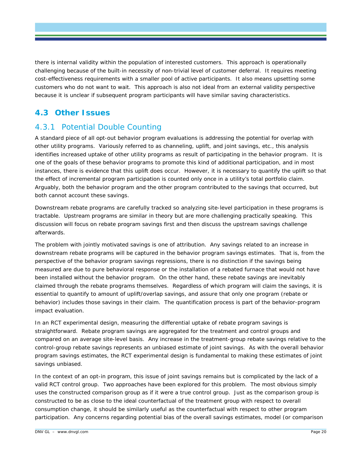there is internal validity within the population of interested customers. This approach is operationally challenging because of the built-in necessity of non-trivial level of customer deferral. It requires meeting cost-effectiveness requirements with a smaller pool of active participants. It also means upsetting some customers who do not want to wait. This approach is also not ideal from an external validity perspective because it is unclear if subsequent program participants will have similar saving characteristics.

## **4.3 Other Issues**

# 4.3.1 Potential Double Counting

A standard piece of all opt-out behavior program evaluations is addressing the potential for overlap with other utility programs. Variously referred to as channeling, uplift, and joint savings, etc., this analysis identifies increased uptake of other utility programs as result of participating in the behavior program. It is one of the goals of these behavior programs to promote this kind of additional participation, and in most instances, there is evidence that this uplift does occur. However, it is necessary to quantify the uplift so that the effect of incremental program participation is counted only once in a utility's total portfolio claim. Arguably, both the behavior program and the other program contributed to the savings that occurred, but both cannot account these savings.

Downstream rebate programs are carefully tracked so analyzing site-level participation in these programs is tractable. Upstream programs are similar in theory but are more challenging practically speaking. This discussion will focus on rebate program savings first and then discuss the upstream savings challenge afterwards.

The problem with jointly motivated savings is one of attribution. Any savings related to an increase in downstream rebate programs will be captured in the behavior program savings estimates. That is, from the perspective of the behavior program savings regressions, there is no distinction if the savings being measured are due to pure behavioral response or the installation of a rebated furnace that would not have been installed without the behavior program. On the other hand, these rebate savings are inevitably claimed through the rebate programs themselves. Regardless of which program will claim the savings, it is essential to quantify to amount of uplift/overlap savings, and assure that only one program (rebate or behavior) includes those savings in their claim. The quantification process is part of the behavior-program impact evaluation.

In an RCT experimental design, measuring the differential uptake of rebate program savings is straightforward. Rebate program savings are aggregated for the treatment and control groups and compared on an average site-level basis. Any increase in the treatment-group rebate savings relative to the control-group rebate savings represents an unbiased estimate of joint savings. As with the overall behavior program savings estimates, the RCT experimental design is fundamental to making these estimates of joint savings unbiased.

In the context of an opt-in program, this issue of joint savings remains but is complicated by the lack of a valid RCT control group. Two approaches have been explored for this problem. The most obvious simply uses the constructed comparison group as if it were a true control group. Just as the comparison group is constructed to be as close to the ideal counterfactual of the treatment group with respect to overall consumption change, it should be similarly useful as the counterfactual with respect to other program participation. Any concerns regarding potential bias of the overall savings estimates, model (or comparison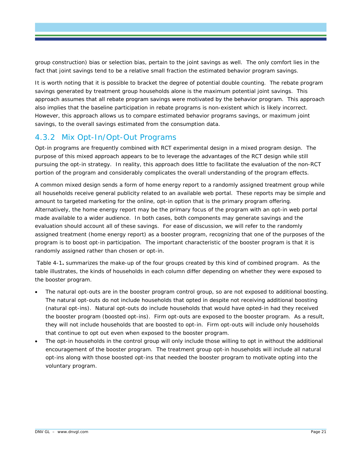group construction) bias or selection bias, pertain to the joint savings as well. The only comfort lies in the fact that joint savings tend to be a relative small fraction the estimated behavior program savings.

It is worth noting that it is possible to bracket the degree of potential double counting. The rebate program savings generated by treatment group households alone is the maximum potential joint savings. This approach assumes that all rebate program savings were motivated by the behavior program. This approach also implies that the baseline participation in rebate programs is non-existent which is likely incorrect. However, this approach allows us to compare estimated behavior programs savings, or maximum joint savings, to the overall savings estimated from the consumption data.

### 4.3.2 Mix Opt-In/Opt-Out Programs

Opt-in programs are frequently combined with RCT experimental design in a mixed program design. The purpose of this mixed approach appears to be to leverage the advantages of the RCT design while still pursuing the opt-in strategy. In reality, this approach does little to facilitate the evaluation of the non-RCT portion of the program and considerably complicates the overall understanding of the program effects.

A common mixed design sends a form of home energy report to a randomly assigned treatment group while all households receive general publicity related to an available web portal. These reports may be simple and amount to targeted marketing for the online, opt-in option that is the primary program offering. Alternatively, the home energy report may be the primary focus of the program with an opt-in web portal made available to a wider audience. In both cases, both components may generate savings and the evaluation should account all of these savings. For ease of discussion, we will refer to the randomly assigned treatment (home energy report) as a booster program, recognizing that one of the purposes of the program is to boost opt-in participation. The important characteristic of the booster program is that it is randomly assigned rather than chosen or opt-in.

Table 4-1**.** summarizes the make-up of the four groups created by this kind of combined program. As the table illustrates, the kinds of households in each column differ depending on whether they were exposed to the booster program.

- The natural opt-outs are in the booster program control group, so are not exposed to additional boosting. The natural opt-outs do not include households that opted in despite not receiving additional boosting (natural opt-ins). Natural opt-outs do include households that would have opted-in had they received the booster program (boosted opt-ins). Firm opt-outs are exposed to the booster program. As a result, they will not include households that are boosted to opt-in. Firm opt-outs will include only households that continue to opt out even when exposed to the booster program.
- The opt-in households in the control group will only include those willing to opt in without the additional encouragement of the booster program. The treatment group opt-in households will include all natural opt-ins along with those boosted opt-ins that needed the booster program to motivate opting into the voluntary program.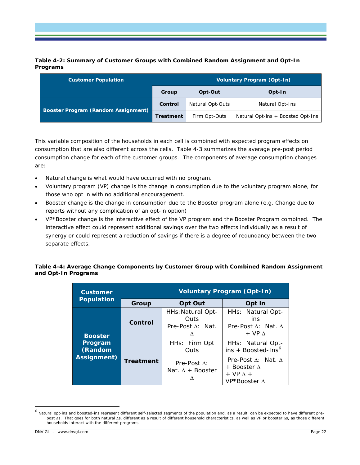<span id="page-26-0"></span>**Table 4-2: Summary of Customer Groups with Combined Random Assignment and Opt-In Programs**

| <b>Customer Population</b>          |                  | Voluntary Program (Opt-In) |                                   |  |
|-------------------------------------|------------------|----------------------------|-----------------------------------|--|
|                                     | Group            | Opt-Out                    | Opt-In                            |  |
|                                     | Control          | Natural Opt-Outs           | Natural Opt-Ins                   |  |
| Booster Program (Random Assignment) | <b>Treatment</b> | Firm Opt-Outs              | Natural Opt-ins + Boosted Opt-Ins |  |

This variable composition of the households in each cell is combined with expected program effects on consumption that are also different across the cells. Table 4-3 summarizes the average pre-post period consumption change for each of the customer groups. The components of average consumption changes are:

- Natural change is what would have occurred with no program.
- Voluntary program (VP) change is the change in consumption due to the voluntary program alone, for those who opt in with no additional encouragement.
- Booster change is the change in consumption due to the Booster program alone (e.g. Change due to reports without any complication of an opt-in option)
- VP\*Booster change is the interactive effect of the VP program and the Booster Program combined. The interactive effect could represent additional savings over the two effects individually as a result of synergy or could represent a reduction of savings if there is a degree of redundancy between the two separate effects.

#### <span id="page-26-1"></span>**Table 4-4: Average Change Components by Customer Group with Combined Random Assignment and Opt-In Programs**

| <b>Customer</b>                   |                  | <b>Voluntary Program (Opt-In)</b>                         |                                                                                                         |  |  |
|-----------------------------------|------------------|-----------------------------------------------------------|---------------------------------------------------------------------------------------------------------|--|--|
| <b>Population</b>                 | Group            | <b>Opt Out</b>                                            | Opt in                                                                                                  |  |  |
| <b>Booster</b>                    | Control          | HHs: Natural Opt-<br><b>Outs</b><br>Pre-Post A: Nat.<br>Λ | HHs: Natural Opt-<br>ins<br>Pre-Post $\Lambda$ : Nat. $\Lambda$<br>$+ VP A$                             |  |  |
| Program<br>(Random<br>Assignment) | <b>Treatment</b> | HHs: Firm Opt<br>Outs                                     | HHs: Natural Opt-<br>$ins + Boosted-Ins6$                                                               |  |  |
|                                   |                  | Pre-Post $\Lambda$ :<br>Nat. $\Lambda$ + Booster<br>Λ     | Pre-Post $\Lambda$ : Nat. $\Lambda$<br>$+$ Booster $\Lambda$<br>$+ VP \Lambda +$<br>$VP*Booster \Delta$ |  |  |

<span id="page-26-2"></span> <sup>6</sup> Natural opt-ins and boosted-ins represent different self-selected segments of the population and, as a result, can be expected to have different prepost ∆s. That goes for both natural ∆s, different as a result of different household characteristics, as well as VP or booster ∆s, as those different households interact with the different programs.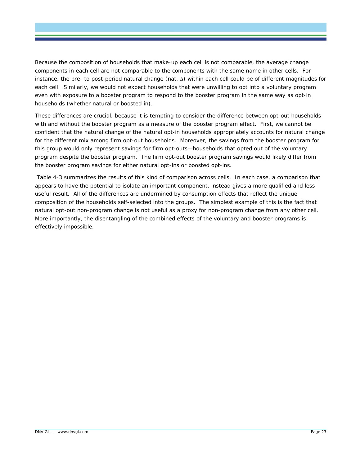Because the composition of households that make-up each cell is not comparable, the average change components in each cell are not comparable to the components with the same name in other cells. For instance, the pre- to post-period natural change (nat. ∆) within each cell could be of different magnitudes for each cell. Similarly, we would not expect households that were unwilling to opt into a voluntary program even with exposure to a booster program to respond to the booster program in the same way as opt-in households (whether natural or boosted in).

These differences are crucial, because it is tempting to consider the difference between opt-out households with and without the booster program as a measure of the booster program effect. First, we cannot be confident that the natural change of the natural opt-in households appropriately accounts for natural change for the different mix among firm opt-out households. Moreover, the savings from the booster program for this group would only represent savings for firm opt-outs—households that opted out of the voluntary program despite the booster program. The firm opt-out booster program savings would likely differ from the booster program savings for either natural opt-ins or boosted opt-ins.

Table 4-3 summarizes the results of this kind of comparison across cells. In each case, a comparison that appears to have the potential to isolate an important component, instead gives a more qualified and less useful result. All of the differences are undermined by consumption effects that reflect the unique composition of the households self-selected into the groups. The simplest example of this is the fact that natural opt-out non-program change is not useful as a proxy for non-program change from any other cell. More importantly, the disentangling of the combined effects of the voluntary and booster programs is effectively impossible.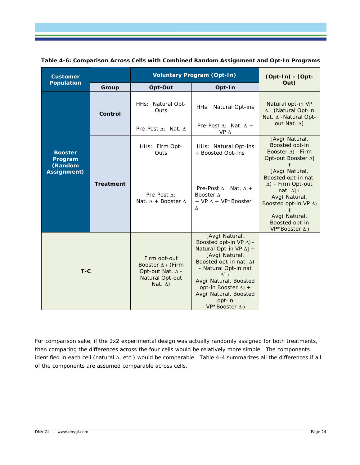| <b>Customer</b>                                            |                  | <b>Voluntary Program (Opt-In)</b>                                                                         | (Opt-In) - (Opt-                                                                                                                                                                                                                                                                              |                                                                                                                                                                                                                                                                                         |
|------------------------------------------------------------|------------------|-----------------------------------------------------------------------------------------------------------|-----------------------------------------------------------------------------------------------------------------------------------------------------------------------------------------------------------------------------------------------------------------------------------------------|-----------------------------------------------------------------------------------------------------------------------------------------------------------------------------------------------------------------------------------------------------------------------------------------|
| <b>Population</b>                                          | Group            | Opt-Out                                                                                                   | Opt-In                                                                                                                                                                                                                                                                                        | Out)                                                                                                                                                                                                                                                                                    |
|                                                            | Control          | HHs: Natural Opt-<br>Outs<br>Pre-Post $\Lambda$ : Nat. $\Lambda$                                          | HHs: Natural Opt-ins<br>Pre-Post $\Delta$ : Nat. $\Delta$ +<br>$VP \Delta$                                                                                                                                                                                                                    | Natural opt-in VP<br>$\Delta$ + (Natural Opt-in<br>Nat. ∆ - Natural Opt-<br>out Nat. $\Delta$ )                                                                                                                                                                                         |
| <b>Booster</b><br>Program<br>(Random<br><b>Assignment)</b> | <b>Treatment</b> | HHs: Firm Opt-<br>Outs<br>Pre-Post $\Lambda$ :<br>Nat. $\Delta$ + Booster $\Delta$                        | HHs: Natural Opt-ins<br>+ Boosted Opt-Ins<br>Pre-Post $\Delta$ : Nat. $\Delta$ +<br>Booster A<br>+ VP $\Delta$ + VP*Booster<br>Λ                                                                                                                                                              | [Avg(Natural,<br>Boosted opt-in<br>Booster $\Delta$ ) - Firm<br>Opt-out Booster Δ]<br>[Avg(Natural,<br>Boosted opt-in nat.<br>$\Delta$ ) - Firm Opt-out<br>nat. $\Delta$ ] +<br>Avg(Natural,<br>Boosted opt-in VP $\Delta$ )<br>Avg(Natural,<br>Boosted opt-in<br>$VP*Booster \Delta$ ) |
| $T-C$                                                      |                  | Firm opt-out<br>Booster $\Delta$ + (Firm<br>Opt-out Nat. $\Delta$ -<br>Natural Opt-out<br>Nat. $\Delta$ ) | [Avg(Natural,<br>Boosted opt-in VP $\Delta$ ) -<br>Natural Opt-in VP $\Delta$ ] +<br>[Avg(Natural,<br>Boosted opt-in nat. $\Delta$ )<br>- Natural Opt-in nat<br>$\Delta$ ] +<br>Avg(Natural, Boosted<br>opt-in Booster $\Delta$ ) +<br>Avg(Natural, Boosted<br>opt-in<br>$VP*Booster \Delta)$ |                                                                                                                                                                                                                                                                                         |

<span id="page-28-0"></span>

| Table 4-6: Comparison Across Cells with Combined Random Assignment and Opt-In Programs |  |  |
|----------------------------------------------------------------------------------------|--|--|
|                                                                                        |  |  |

For comparison sake, if the 2x2 experimental design was actually randomly assigned for both treatments, then comparing the differences across the four cells would be relatively more simple. The components identified in each cell (natural ∆, etc.) would be comparable. [Table 4-4](#page-29-0) summarizes all the differences if all of the components are assumed comparable across cells.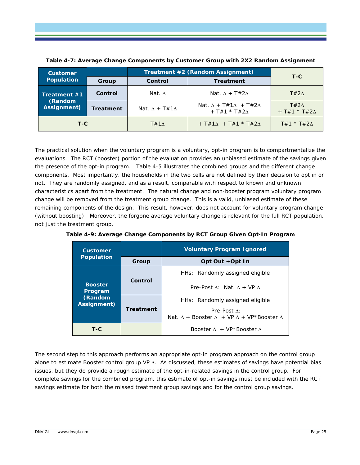

| <b>Customer</b>            |                  | Treatment #2 (Random Assignment) | $T-C$                                                                 |                    |  |
|----------------------------|------------------|----------------------------------|-----------------------------------------------------------------------|--------------------|--|
| <b>Population</b><br>Group |                  | Control                          | <b>Treatment</b>                                                      |                    |  |
| <b>Treatment #1</b>        | Control          | Nat. $\wedge$                    | Nat. $\Lambda$ + T#2 $\Lambda$                                        | $T#2\Lambda$       |  |
| (Random<br>Assignment)     | <b>Treatment</b> | Nat. $\Lambda$ + T#1 $\Lambda$   | Nat. $\Delta$ + T#1 $\Delta$ + T#2 $\Delta$<br>$+$ T#1 * T#2 $\Delta$ |                    |  |
| T-C                        |                  | $T#1\Lambda$                     | + $T#1\Lambda$ + $T#1$ * $T#2\Lambda$                                 | $T#1 * T#2\Lambda$ |  |

<span id="page-29-0"></span>**Table 4-7: Average Change Components by Customer Group with 2X2 Random Assignment**

The practical solution when the voluntary program is a voluntary, opt-in program is to compartmentalize the evaluations. The RCT (booster) portion of the evaluation provides an unbiased estimate of the savings given the presence of the opt-in program. Table 4-5 illustrates the combined groups and the different change components. Most importantly, the households in the two cells are not defined by their decision to opt in or not. They are randomly assigned, and as a result, comparable with respect to known and unknown characteristics apart from the treatment. The natural change and non-booster program voluntary program change will be removed from the treatment group change. This is a valid, unbiased estimate of these remaining components of the design. This result, however, does not account for voluntary program change (without boosting). Moreover, the forgone average voluntary change is relevant for the full RCT population, not just the treatment group.

| <b>Customer</b>           |                  | <b>Voluntary Program Ignored</b>                                                                 |
|---------------------------|------------------|--------------------------------------------------------------------------------------------------|
| <b>Population</b>         | Group            | Opt Out +Opt In                                                                                  |
|                           |                  | HHs: Randomly assigned eligible                                                                  |
| <b>Booster</b><br>Program | Control          | Pre-Post $\Lambda$ : Nat. $\Lambda$ + VP $\Lambda$                                               |
| (Random<br>Assignment)    |                  | HHs: Randomly assigned eligible                                                                  |
|                           | <b>Treatment</b> | Pre-Post $\Lambda$ :<br>Nat. $\Lambda$ + Booster $\Lambda$ + VP $\Lambda$ + VP*Booster $\Lambda$ |
| $T-C$                     |                  | Booster $\Lambda + VP^*$ Booster $\Lambda$                                                       |

<span id="page-29-1"></span>

|  |  |  | Table 4-9: Average Change Components by RCT Group Given Opt-In Program |
|--|--|--|------------------------------------------------------------------------|
|--|--|--|------------------------------------------------------------------------|

The second step to this approach performs an appropriate opt-in program approach on the control group alone to estimate Booster control group VP ∆. As discussed, these estimates of savings have potential bias issues, but they do provide a rough estimate of the opt-in-related savings in the control group. For complete savings for the combined program, this estimate of opt-in savings must be included with the RCT savings estimate for both the missed treatment group savings and for the control group savings.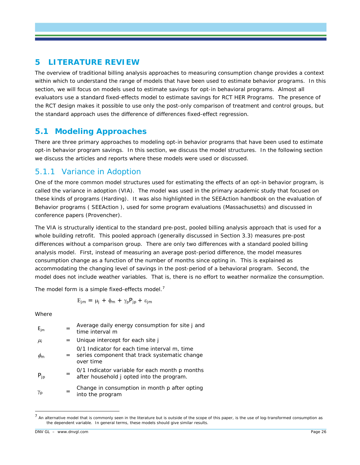# **5 LITERATURE REVIEW**

The overview of traditional billing analysis approaches to measuring consumption change provides a context within which to understand the range of models that have been used to estimate behavior programs. In this section, we will focus on models used to estimate savings for opt-in behavioral programs. Almost all evaluators use a standard fixed-effects model to estimate savings for RCT HER Programs. The presence of the RCT design makes it possible to use only the post-only comparison of treatment and control groups, but the standard approach uses the difference of differences fixed-effect regression.

# **5.1 Modeling Approaches**

There are three primary approaches to modeling opt-in behavior programs that have been used to estimate opt-in behavior program savings. In this section, we discuss the model structures. In the following section we discuss the articles and reports where these models were used or discussed.

# 5.1.1 Variance in Adoption

One of the more common model structures used for estimating the effects of an opt-in behavior program, is called the variance in adoption (VIA). The model was used in the primary academic study that focused on these kinds of programs (Harding). It was also highlighted in the SEEAction handbook on the evaluation of Behavior programs ( SEEAction ), used for some program evaluations (Massachusetts) and discussed in conference papers (Provencher).

The VIA is structurally identical to the standard pre-post, pooled billing analysis approach that is used for a whole building retrofit. This pooled approach (generally discussed in Section [3.3\)](#page-10-0) measures pre-post differences without a comparison group. There are only two differences with a standard pooled billing analysis model. First, instead of measuring an average post-period difference, the model measures consumption change as a function of the number of months since opting in. This is explained as accommodating the changing level of savings in the post-period of a behavioral program. Second, the model does not include weather variables. That is, there is no effort to weather normalize the consumption.

The model form is a simple fixed-effects model.<sup>[7](#page-30-0)</sup>

$$
E_{jm}\,=\,\mu_j\,+\,\varphi_m\,+\,\gamma_p P_{jp}\,+\,\epsilon_{jm}
$$

Where

| $E_{jm}$ |     | Average daily energy consumption for site j and<br>time interval $m$                                         |
|----------|-----|--------------------------------------------------------------------------------------------------------------|
| $\mu_i$  | $=$ | Unique intercept for each site j                                                                             |
| $\phi_m$ |     | 0/1 Indicator for each time interval m, time<br>= series component that track systematic change<br>over time |
| $P_{ip}$ |     | 0/1 Indicator variable for each month p months<br>after household j opted into the program.                  |
| γp       |     | Change in consumption in month p after opting<br>into the program                                            |

<span id="page-30-0"></span> $<sup>7</sup>$  An alternative model that is commonly seen in the literature but is outside of the scope of this paper, is the use of log-transformed consumption as</sup> the dependent variable. In general terms, these models should give similar results.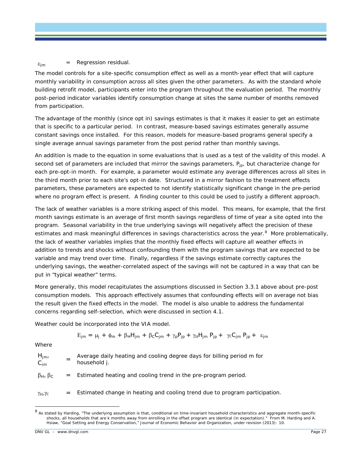$\varepsilon_{\text{im}}$  = Regression residual.

The model controls for a site-specific consumption effect as well as a month-year effect that will capture monthly variability in consumption across all sites given the other parameters. As with the standard whole building retrofit model, participants enter into the program throughout the evaluation period. The monthly post-period indicator variables identify consumption change at sites the same number of months removed from participation.

The advantage of the monthly (since opt in) savings estimates is that it makes it easier to get an estimate that is specific to a particular period. In contrast, measure-based savings estimates generally assume constant savings once installed. For this reason, models for measure-based programs general specify a single average annual savings parameter from the post period rather than monthly savings.

An addition is made to the equation in some evaluations that is used as a test of the validity of this model. A second set of parameters are included that mirror the savings parameters,  $P_{ip}$ , but characterize change for each pre-opt-in month. For example, a parameter would estimate any average differences across all sites in the third month prior to each site's opt-in date. Structured in a mirror fashion to the treatment effects parameters, these parameters are expected to not identify statistically significant change in the pre-period where no program effect is present. A finding counter to this could be used to justify a different approach.

The lack of weather variables is a more striking aspect of this model. This means, for example, that the first month savings estimate is an average of first month savings regardless of time of year a site opted into the program. Seasonal variability in the true underlying savings will negatively affect the precision of these estimates and mask meaningful differences in savings characteristics across the year.<sup>[8](#page-31-0)</sup> More problematically, the lack of weather variables implies that the monthly fixed effects will capture all weather effects in addition to trends and shocks without confounding them with the program savings that are expected to be variable and may trend over time. Finally, regardless if the savings estimate correctly captures the underlying savings, the weather-correlated aspect of the savings will not be captured in a way that can be put in "typical weather" terms.

More generally, this model recapitulates the assumptions discussed in Section 3.3.1 above about pre-post consumption models. This approach effectively assumes that confounding effects will on average not bias the result given the fixed effects in the model. The model is also unable to address the fundamental concerns regarding self-selection, which were discussed in section 4.1.

Weather could be incorporated into the VIA model.

$$
E_{jm}\,=\,\mu_{j}\,+\,\varphi_{m}\,+\,\beta_{H}H_{jm}\,+\,\beta_{C}C_{jm}\,+\,\gamma_{p}P_{jp}\,+\,\gamma_{H}H_{jm}\,\,P_{jp}\,+\,\,\,\gamma_{C}C_{jm}\,\,P_{jp}\,+\,\,\epsilon_{jm}
$$

**Where** 

| $H_{\text{im}}$<br>$C_{\text{im}}$ |     | Average daily heating and cooling degree days for billing period m for<br>household j. |
|------------------------------------|-----|----------------------------------------------------------------------------------------|
| $\beta_H$ , $\beta_C$              |     | $=$ Estimated heating and cooling trend in the pre-program period.                     |
| $\gamma_{\rm H}, \gamma_{\rm C}$   | $=$ | Estimated change in heating and cooling trend due to program participation.            |

<span id="page-31-0"></span><sup>8</sup> As stated by Harding, "The underlying assumption is that, conditional on time-invariant household characteristics and aggregate month-specific shocks, all households that are k months away from enrolling in the offset program are identical (in expectation)." From M. Harding and A. Hsiaw, "Goal Setting and Energy Conservation," Journal of Economic Behavior and Organization, under revision (2013): 10.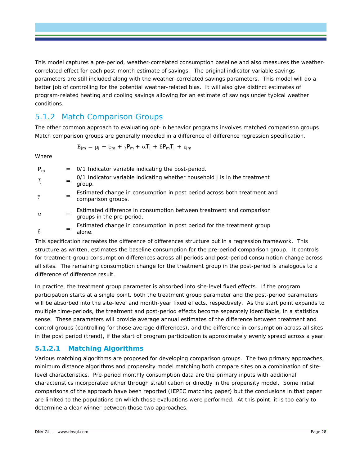This model captures a pre-period, weather-correlated consumption baseline and also measures the weathercorrelated effect for each post-month estimate of savings. The original indicator variable savings parameters are still included along with the weather-correlated savings parameters. This model will do a better job of controlling for the potential weather-related bias. It will also give distinct estimates of program-related heating and cooling savings allowing for an estimate of savings under typical weather conditions.

## 5.1.2 Match Comparison Groups

The other common approach to evaluating opt-in behavior programs involves matched comparison groups. Match comparison groups are generally modeled in a difference of difference regression specification.

$$
E_{jm} \,=\, \mu_j \;+\; \varphi_m \;+\; \gamma P_m \,+\; \alpha T_j \;+\; \delta P_m T_j \;+\; \epsilon_{jm}
$$

Where

| $P_m$    |     | $=$ 0/1 Indicator variable indicating the post-period.                                            |
|----------|-----|---------------------------------------------------------------------------------------------------|
| $T_i$    | $=$ | 0/1 Indicator variable indicating whether household j is in the treatment<br>group.               |
| $\gamma$ |     | Estimated change in consumption in post period across both treatment and<br>comparison groups.    |
| $\alpha$ |     | Estimated difference in consumption between treatment and comparison<br>groups in the pre-period. |
| $\delta$ | $=$ | Estimated change in consumption in post period for the treatment group<br>alone.                  |

This specification recreates the difference of differences structure but in a regression framework. This structure as written, estimates the baseline consumption for the pre-period comparison group. It controls for treatment-group consumption differences across all periods and post-period consumption change across all sites. The remaining consumption change for the treatment group in the post-period is analogous to a difference of difference result.

In practice, the treatment group parameter is absorbed into site-level fixed effects. If the program participation starts at a single point, both the treatment group parameter and the post-period parameters will be absorbed into the site-level and month-year fixed effects, respectively. As the start point expands to multiple time-periods, the treatment and post-period effects become separately identifiable, in a statistical sense. These parameters will provide average annual estimates of the difference between treatment and control groups (controlling for those average differences), and the difference in consumption across all sites in the post period (trend), if the start of program participation is approximately evenly spread across a year.

### **5.1.2.1 Matching Algorithms**

Various matching algorithms are proposed for developing comparison groups. The two primary approaches, minimum distance algorithms and propensity model matching both compare sites on a combination of sitelevel characteristics. Pre-period monthly consumption data are the primary inputs with additional characteristics incorporated either through stratification or directly in the propensity model. Some initial comparisons of the approach have been reported (IEPEC matching paper) but the conclusions in that paper are limited to the populations on which those evaluations were performed. At this point, it is too early to determine a clear winner between those two approaches.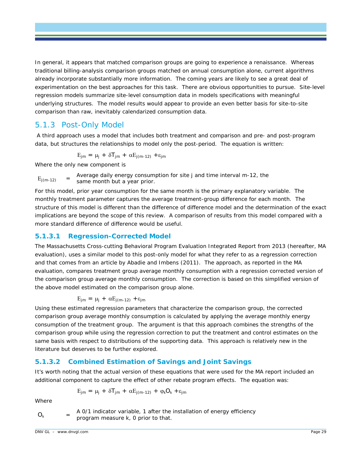In general, it appears that matched comparison groups are going to experience a renaissance. Whereas traditional billing-analysis comparison groups matched on annual consumption alone, current algorithms already incorporate substantially more information. The coming years are likely to see a great deal of experimentation on the best approaches for this task. There are obvious opportunities to pursue. Site-level regression models summarize site-level consumption data in models specifications with meaningful underlying structures. The model results would appear to provide an even better basis for site-to-site comparison than raw, inevitably calendarized consumption data.

### 5.1.3 Post-Only Model

A third approach uses a model that includes both treatment and comparison and pre- and post-program data, but structures the relationships to model only the post-period. The equation is written:

$$
E_{jm} = \mu_j + \delta T_{jm} + \alpha E_{j(m-12)} + \epsilon_{jm}
$$

Where the only new component is

 $E_{i(m-12)}$  = Average daily energy consumption for site *j* and time interval *m-12*, the same month but a year prior.

For this model, prior year consumption for the same month is the primary explanatory variable. The monthly treatment parameter captures the average treatment-group difference for each month. The structure of this model is different than the difference of difference model and the determination of the exact implications are beyond the scope of this review. A comparison of results from this model compared with a more standard difference of difference would be useful.

#### **5.1.3.1 Regression-Corrected Model**

The Massachusetts Cross-cutting Behavioral Program Evaluation Integrated Report from 2013 (hereafter, MA evaluation), uses a similar model to this post-only model for what they refer to as a regression correction and that comes from an article by Abadie and Imbens (2011). The approach, as reported in the MA evaluation, compares treatment group average monthly consumption with a regression corrected version of the comparison group average monthly consumption. The correction is based on this simplified version of the above model estimated on the comparison group alone.

$$
E_{jm} = \mu_j + \alpha E_{j(m-12)} + \varepsilon_{jm}
$$

Using these estimated regression parameters that characterize the comparison group, the corrected comparison group average monthly consumption is calculated by applying the average monthly energy consumption of the treatment group. The argument is that this approach combines the strengths of the comparison group while using the regression correction to put the treatment and control estimates on the same basis with respect to distributions of the supporting data. This approach is relatively new in the literature but deserves to be further explored.

#### **5.1.3.2 Combined Estimation of Savings and Joint Savings**

It's worth noting that the actual version of these equations that were used for the MA report included an additional component to capture the effect of other rebate program effects. The equation was:

$$
E_{jm}\,=\,\mu_j\,+\,\delta T_{jm}\,+\,\alpha E_{j(m\text{-}12)}\,+\,\phi_kO_k\,+\epsilon_{jm}
$$

Where

 $O_k$  = A 0/1 indicator variable, 1 after the installation of energy efficiency program measure *k*, 0 prior to that.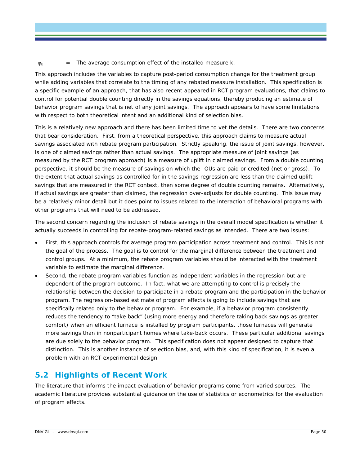$\varphi_k$  = The average consumption effect of the installed measure  $k$ .

This approach includes the variables to capture post-period consumption change for the treatment group while adding variables that correlate to the timing of any rebated measure installation. This specification is a specific example of an approach, that has also recent appeared in RCT program evaluations, that claims to control for potential double counting directly in the savings equations, thereby producing an estimate of behavior program savings that is net of any joint savings. The approach appears to have some limitations with respect to both theoretical intent and an additional kind of selection bias.

This is a relatively new approach and there has been limited time to vet the details. There are two concerns that bear consideration. First, from a theoretical perspective, this approach claims to measure actual savings associated with rebate program participation. Strictly speaking, the issue of joint savings, however, is one of claimed savings rather than actual savings. The appropriate measure of joint savings (as measured by the RCT program approach) is a measure of uplift in claimed savings. From a double counting perspective, it should be the measure of savings on which the IOUs are paid or credited (net or gross). To the extent that actual savings as controlled for in the savings regression are less than the claimed uplift savings that are measured in the RCT context, then some degree of double counting remains. Alternatively, if actual savings are greater than claimed, the regression over-adjusts for double counting. This issue may be a relatively minor detail but it does point to issues related to the interaction of behavioral programs with other programs that will need to be addressed.

The second concern regarding the inclusion of rebate savings in the overall model specification is whether it actually succeeds in controlling for rebate-program-related savings as intended. There are two issues:

- First, this approach controls for average program participation across treatment and control. This is not the goal of the process. The goal is to control for the marginal difference between the treatment and control groups. At a minimum, the rebate program variables should be interacted with the treatment variable to estimate the marginal difference.
- Second, the rebate program variables function as independent variables in the regression but are dependent of the program outcome. In fact, what we are attempting to control is precisely the relationship between the decision to participate in a rebate program and the participation in the behavior program. The regression-based estimate of program effects is going to include savings that are specifically related only to the behavior program. For example, if a behavior program consistently reduces the tendency to "take back" (using more energy and therefore taking back savings as greater comfort) when an efficient furnace is installed by program participants, those furnaces will generate more savings than in nonparticipant homes where take-back occurs. These particular additional savings are due solely to the behavior program. This specification does not appear designed to capture that distinction. This is another instance of selection bias, and, with this kind of specification, it is even a problem with an RCT experimental design.

# **5.2 Highlights of Recent Work**

The literature that informs the impact evaluation of behavior programs come from varied sources. The academic literature provides substantial guidance on the use of statistics or econometrics for the evaluation of program effects.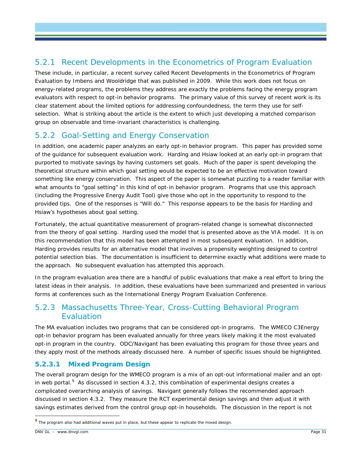# 5.2.1 Recent Developments in the Econometrics of Program Evaluation

These include, in particular, a recent survey called Recent Developments in the Econometrics of Program Evaluation by Imbens and Wooldridge that was published in 2009. While this work does not focus on energy-related programs, the problems they address are exactly the problems facing the energy program evaluators with respect to opt-in behavior programs. The primary value of this survey of recent work is its clear statement about the limited options for addressing confoundedness, the term they use for selfselection. What is striking about the article is the extent to which just developing a matched comparison group on observable and time-invariant characteristics is challenging.

# 5.2.2 Goal-Setting and Energy Conservation

In addition, one academic paper analyzes an early opt-in behavior program. This paper has provided some of the guidance for subsequent evaluation work. Harding and Hsiaw looked at an early opt-in program that purported to motivate savings by having customers set goals. Much of the paper is spent developing the theoretical structure within which goal setting would be expected to be an effective motivation toward something like energy conservation. This aspect of the paper is somewhat puzzling to a reader familiar with what amounts to "goal setting" in this kind of opt-in behavior program. Programs that use this approach (including the Progressive Energy Audit Tool) give those who opt in the opportunity to respond to the provided tips. One of the responses is "Will do." This response appears to be the basis for Harding and Hsiaw's hypotheses about goal setting.

Fortunately, the actual quantitative measurement of program-related change is somewhat disconnected from the theory of goal setting. Harding used the model that is presented above as the VIA model. It is on this recommendation that this model has been attempted in most subsequent evaluation. In addition, Harding provides results for an alternative model that involves a propensity weighting designed to control potential selection bias. The documentation is insufficient to determine exactly what additions were made to the approach. No subsequent evaluation has attempted this approach.

In the program evaluation area there are a handful of public evaluations that make a real effort to bring the latest ideas in their analysis. In addition, these evaluations have been summarized and presented in various forms at conferences such as the International Energy Program Evaluation Conference.

# 5.2.3 Massachusetts Three-Year, Cross-Cutting Behavioral Program Evaluation

The MA evaluation includes two programs that can be considered opt-in programs. The WMECO C3Energy opt-in behavior program has been evaluated annually for three years likely making it the most evaluated opt-in program in the country. ODC/Navigant has been evaluating this program for those three years and they apply most of the methods already discussed here. A number of specific issues should be highlighted.

### **5.2.3.1 Mixed Program Design**

The overall program design for the WMECO program is a mix of an opt-out informational mailer and an opt-in web portal.<sup>[9](#page-35-0)</sup> As discussed in section 4.3.2, this combination of experimental designs creates a complicated overarching analysis of savings. Navigant generally follows the recommended approach discussed in section 4.3.2. They measure the RCT experimental design savings and then adjust it with savings estimates derived from the control group opt-in households. The discussion in the report is not

<span id="page-35-0"></span><sup>&</sup>lt;sup>9</sup> The program also had additional waves put in place, but these appear to replicate the mixed design.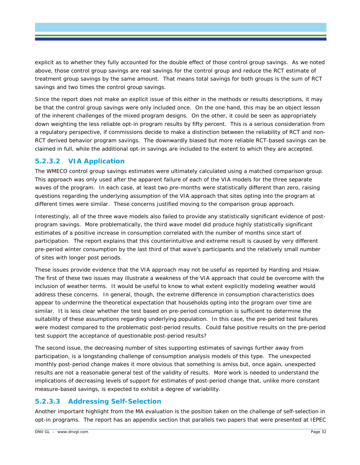explicit as to whether they fully accounted for the double effect of those control group savings. As we noted above, those control group savings are real savings for the control group and reduce the RCT estimate of treatment group savings by the same amount. That means total savings for both groups is the sum of RCT savings and two times the control group savings.

Since the report does not make an explicit issue of this either in the methods or results descriptions, it may be that the control group savings were only included once. On the one hand, this may be an object lesson of the inherent challenges of the mixed program designs. On the other, it could be seen as appropriately down weighting the less reliable opt-in program results by fifty percent. This is a serious consideration from a regulatory perspective, if commissions decide to make a distinction between the reliability of RCT and non-RCT derived behavior program savings. The downwardly biased but more reliable RCT-based savings can be claimed in full, while the additional opt-in savings are included to the extent to which they are accepted.

#### **5.2.3.2 VIA Application**

The WMECO control group savings estimates were ultimately calculated using a matched comparison group. This approach was only used after the apparent failure of each of the VIA models for the three separate waves of the program. In each case, at least two pre-months were statistically different than zero, raising questions regarding the underlying assumption of the VIA approach that sites opting into the program at different times were similar. These concerns justified moving to the comparison group approach.

Interestingly, all of the three wave models also failed to provide any statistically significant evidence of postprogram savings. More problematically, the third wave model did produce highly statistically significant estimates of a positive increase in consumption correlated with the number of months since start of participation. The report explains that this counterintuitive and extreme result is caused by very different pre-period winter consumption by the last third of that wave's participants and the relatively small number of sites with longer post periods.

These issues provide evidence that the VIA approach may not be useful as reported by Harding and Hsiaw. The first of these two issues may illustrate a weakness of the VIA approach that could be overcome with the inclusion of weather terms. It would be useful to know to what extent explicitly modeling weather would address these concerns. In general, though, the extreme difference in consumption characteristics does appear to undermine the theoretical expectation that households opting into the program over time are similar. It is less clear whether the test based on pre-period consumption is sufficient to determine the suitability of these assumptions regarding underlying population. In this case, the pre-period test failures were modest compared to the problematic post-period results. Could false positive results on the pre-period test support the acceptance of questionable post-period results?

The second issue, the decreasing number of sites supporting estimates of savings further away from participation, is a longstanding challenge of consumption analysis models of this type. The unexpected monthly post-period change makes it more obvious that something is amiss but, once again, unexpected results are not a reasonable general test of the validity of results. More work is needed to understand the implications of decreasing levels of support for estimates of post-period change that, unlike more constant measure-based savings, is expected to exhibit a degree of variability.

### **5.2.3.3 Addressing Self-Selection**

Another important highlight from the MA evaluation is the position taken on the challenge of self-selection in opt-in programs. The report has an appendix section that parallels two papers that were presented at IEPEC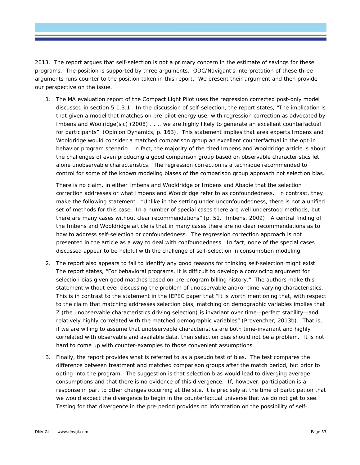2013. The report argues that self-selection is not a primary concern in the estimate of savings for these programs. The position is supported by three arguments. ODC/Navigant's interpretation of these three arguments runs counter to the position taken in this report. We present their argument and then provide our perspective on the issue.

1. The MA evaluation report of the Compact Light Pilot uses the regression corrected post-only model discussed in section 5.1.3.1. In the discussion of self-selection, the report states, "*The implication is that given a model that matches on pre-pilot energy use, with regression correction as advocated by Imbens and Woolridge(sic) (2008) . . ., we are highly likely to generate an excellent counterfactual for participants"* (Opinion Dynamics, p. 163). This statement implies that area experts Imbens and Wooldridge would consider a matched comparison group an excellent counterfactual in the opt-in behavior program scenario. In fact, the majority of the cited Imbens and Wooldridge article is about the challenges of even producing a good comparison group based on observable characteristics let alone unobservable characteristics. The regression correction is a technique recommended to control for some of the known modeling biases of the comparison group approach not selection bias.

There is no claim, in either Imbens and Wooldridge or Imbens and Abadie that the selection correction addresses or what Imbens and Wooldridge refer to as confoundedness. In contrast, they make the following statement. *"Unlike in the setting under unconfoundedness, there is not a unified set of methods for this case. In a number of special cases there are well understood methods, but there are many cases without clear recommendations"* (p. 51. Imbens, 2009). A central finding of the Imbens and Wooldridge article is that in many cases there are no clear recommendations as to how to address self-selection or confoundedness. The regression correction approach is not presented in the article as a way to deal with confoundedness. In fact, none of the special cases discussed appear to be helpful with the challenge of self-selection in consumption modeling.

- 2. The report also appears to fail to identify any good reasons for thinking self-selection might exist. The report states, "*For behavioral programs, it is difficult to develop a convincing argument for selection bias given good matches based on pre-program billing history."* The authors make this statement without ever discussing the problem of unobservable and/or time-varying characteristics. This is in contrast to the statement in the IEPEC paper that *"It is worth mentioning that, with respect to the claim that matching addresses selection bias, matching on demographic variables implies that Z (the unobservable characteristics driving selection) is invariant over time—perfect stability—and relatively highly correlated with the matched demographic variables"* (Provencher, 2013b). That is, if we are willing to assume that unobservable characteristics are both time-invariant and highly correlated with observable and available data, then selection bias should not be a problem. It is not hard to come up with counter-examples to those convenient assumptions.
- 3. Finally, the report provides what is referred to as a pseudo test of bias. The test compares the difference between treatment and matched comparison groups after the match period, but prior to opting-into the program. The suggestion is that selection bias would lead to diverging average consumptions and that there is no evidence of this divergence. If, however, participation is a response in part to other changes occurring at the site, it is precisely at the time of participation that we would expect the divergence to begin in the counterfactual universe that we do not get to see. Testing for that divergence in the pre-period provides no information on the possibility of self-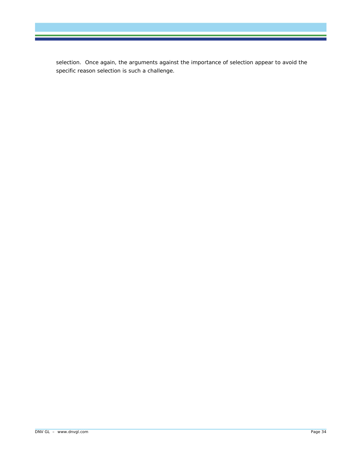selection. Once again, the arguments against the importance of selection appear to avoid the specific reason selection is such a challenge.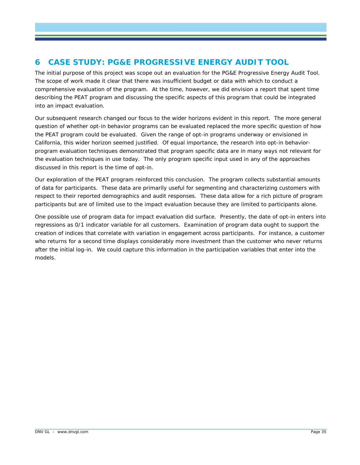# <span id="page-39-0"></span>**6 CASE STUDY: PG&E PROGRESSIVE ENERGY AUDIT TOOL**

The initial purpose of this project was scope out an evaluation for the PG&E Progressive Energy Audit Tool. The scope of work made it clear that there was insufficient budget or data with which to conduct a comprehensive evaluation of the program. At the time, however, we did envision a report that spent time describing the PEAT program and discussing the specific aspects of this program that could be integrated into an impact evaluation.

Our subsequent research changed our focus to the wider horizons evident in this report. The more general question of whether opt-in behavior programs can be evaluated replaced the more specific question of how the PEAT program could be evaluated. Given the range of opt-in programs underway or envisioned in California, this wider horizon seemed justified. Of equal importance, the research into opt-in behaviorprogram evaluation techniques demonstrated that program specific data are in many ways not relevant for the evaluation techniques in use today. The only program specific input used in any of the approaches discussed in this report is the time of opt-in.

Our exploration of the PEAT program reinforced this conclusion. The program collects substantial amounts of data for participants. These data are primarily useful for segmenting and characterizing customers with respect to their reported demographics and audit responses. These data allow for a rich picture of program participants but are of limited use to the impact evaluation because they are limited to participants alone.

One possible use of program data for impact evaluation did surface. Presently, the date of opt-in enters into regressions as 0/1 indicator variable for all customers. Examination of program data ought to support the creation of indices that correlate with variation in engagement across participants. For instance, a customer who returns for a second time displays considerably more investment than the customer who never returns after the initial log-in. We could capture this information in the participation variables that enter into the models.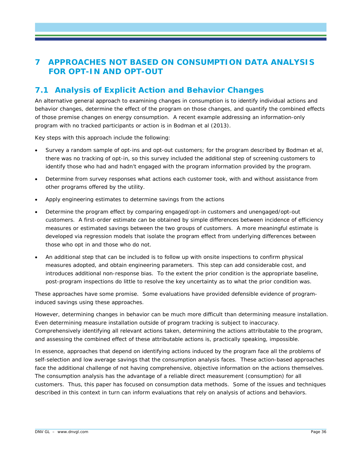# <span id="page-40-0"></span>**7 APPROACHES NOT BASED ON CONSUMPTION DATA ANALYSIS FOR OPT-IN AND OPT-OUT**

# **7.1 Analysis of Explicit Action and Behavior Changes**

An alternative general approach to examining changes in consumption is to identify individual actions and behavior changes, determine the effect of the program on those changes, and quantify the combined effects of those premise changes on energy consumption. A recent example addressing an information-only program with no tracked participants or action is in Bodman et al (2013).

Key steps with this approach include the following:

- Survey a random sample of opt-ins and opt-out customers; for the program described by Bodman et al, there was no tracking of opt-in, so this survey included the additional step of screening customers to identify those who had and hadn't engaged with the program information provided by the program.
- Determine from survey responses what actions each customer took, with and without assistance from other programs offered by the utility.
- Apply engineering estimates to determine savings from the actions
- Determine the program effect by comparing engaged/opt-in customers and unengaged/opt-out customers. A first-order estimate can be obtained by simple differences between incidence of efficiency measures or estimated savings between the two groups of customers. A more meaningful estimate is developed via regression models that isolate the program effect from underlying differences between those who opt in and those who do not.
- An additional step that can be included is to follow up with onsite inspections to confirm physical measures adopted, and obtain engineering parameters. This step can add considerable cost, and introduces additional non-response bias. To the extent the prior condition is the appropriate baseline, post-program inspections do little to resolve the key uncertainty as to what the prior condition was.

These approaches have some promise. Some evaluations have provided defensible evidence of programinduced savings using these approaches.

However, determining changes in behavior can be much more difficult than determining measure installation. Even determining measure installation outside of program tracking is subject to inaccuracy. Comprehensively identifying all relevant actions taken, determining the actions attributable to the program, and assessing the combined effect of these attributable actions is, practically speaking, impossible.

In essence, approaches that depend on identifying actions induced by the program face all the problems of self-selection and low average savings that the consumption analysis faces. These action-based approaches face the additional challenge of not having comprehensive, objective information on the actions themselves. The consumption analysis has the advantage of a reliable direct measurement (consumption) for all customers. Thus, this paper has focused on consumption data methods. Some of the issues and techniques described in this context in turn can inform evaluations that rely on analysis of actions and behaviors.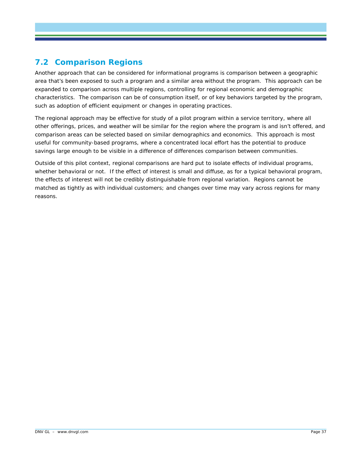# **7.2 Comparison Regions**

Another approach that can be considered for informational programs is comparison between a geographic area that's been exposed to such a program and a similar area without the program. This approach can be expanded to comparison across multiple regions, controlling for regional economic and demographic characteristics. The comparison can be of consumption itself, or of key behaviors targeted by the program, such as adoption of efficient equipment or changes in operating practices.

The regional approach may be effective for study of a pilot program within a service territory, where all other offerings, prices, and weather will be similar for the region where the program is and isn't offered, and comparison areas can be selected based on similar demographics and economics. This approach is most useful for community-based programs, where a concentrated local effort has the potential to produce savings large enough to be visible in a difference of differences comparison between communities.

Outside of this pilot context, regional comparisons are hard put to isolate effects of individual programs, whether behavioral or not. If the effect of interest is small and diffuse, as for a typical behavioral program, the effects of interest will not be credibly distinguishable from regional variation. Regions cannot be matched as tightly as with individual customers; and changes over time may vary across regions for many reasons.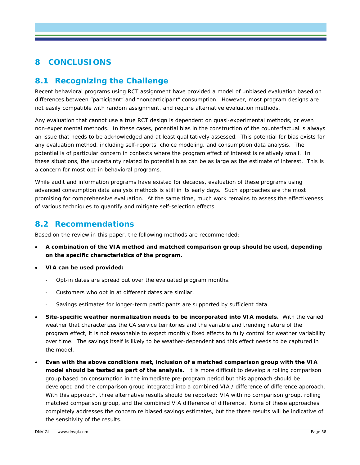# <span id="page-42-0"></span>**8 CONCLUSIONS**

# **8.1 Recognizing the Challenge**

Recent behavioral programs using RCT assignment have provided a model of unbiased evaluation based on differences between "participant" and "nonparticipant" consumption. However, most program designs are not easily compatible with random assignment, and require alternative evaluation methods.

Any evaluation that cannot use a true RCT design is dependent on quasi-experimental methods, or even non-experimental methods. In these cases, potential bias in the construction of the counterfactual is always an issue that needs to be acknowledged and at least qualitatively assessed. This potential for bias exists for any evaluation method, including self-reports, choice modeling, and consumption data analysis. The potential is of particular concern in contexts where the program effect of interest is relatively small. In these situations, the uncertainty related to potential bias can be as large as the estimate of interest. This is a concern for most opt-in behavioral programs.

While audit and information programs have existed for decades, evaluation of these programs using advanced consumption data analysis methods is still in its early days. Such approaches are the most promising for comprehensive evaluation. At the same time, much work remains to assess the effectiveness of various techniques to quantify and mitigate self-selection effects.

### **8.2 Recommendations**

Based on the review in this paper, the following methods are recommended:

- **A combination of the VIA method and matched comparison group should be used, depending on the specific characteristics of the program.**
- **VIA can be used provided:**
	- Opt-in dates are spread out over the evaluated program months.
	- Customers who opt in at different dates are similar.
	- Savings estimates for longer-term participants are supported by sufficient data.
- **Site-specific weather normalization needs to be incorporated into VIA models.** With the varied weather that characterizes the CA service territories and the variable and trending nature of the program effect, it is not reasonable to expect monthly fixed effects to fully control for weather variability over time. The savings itself is likely to be weather-dependent and this effect needs to be captured in the model.
- **Even with the above conditions met, inclusion of a matched comparison group with the VIA model should be tested as part of the analysis.** It is more difficult to develop a rolling comparison group based on consumption in the immediate pre-program period but this approach should be developed and the comparison group integrated into a combined VIA / difference of difference approach. With this approach, three alternative results should be reported: VIA with no comparison group, rolling matched comparison group, and the combined VIA difference of difference. None of these approaches completely addresses the concern re biased savings estimates, but the three results will be indicative of the sensitivity of the results.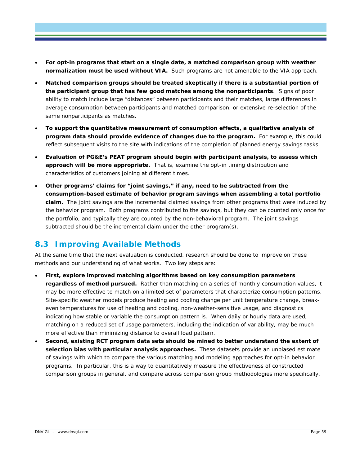- **For opt-in programs that start on a single date, a matched comparison group with weather normalization must be used without VIA.** Such programs are not amenable to the VIA approach.
- **Matched comparison groups should be treated skeptically if there is a substantial portion of the participant group that has few good matches among the nonparticipants**. Signs of poor ability to match include large "distances" between participants and their matches, large differences in average consumption between participants and matched comparison, or extensive re-selection of the same nonparticipants as matches.
- **To support the quantitative measurement of consumption effects, a qualitative analysis of program data should provide evidence of changes due to the program.** For example, this could reflect subsequent visits to the site with indications of the completion of planned energy savings tasks.
- **Evaluation of PG&E's PEAT program should begin with participant analysis, to assess which approach will be more appropriate.** That is, examine the opt-in timing distribution and characteristics of customers joining at different times.
- **Other programs' claims for "joint savings," if any, need to be subtracted from the consumption-based estimate of behavior program savings when assembling a total portfolio claim.** The joint savings are the incremental claimed savings from other programs that were induced by the behavior program. Both programs contributed to the savings, but they can be counted only once for the portfolio, and typically they are counted by the non-behavioral program. The joint savings subtracted should be the incremental claim under the other program(s).

# **8.3 Improving Available Methods**

At the same time that the next evaluation is conducted, research should be done to improve on these methods and our understanding of what works. Two key steps are:

- **First, explore improved matching algorithms based on key consumption parameters regardless of method pursued.** Rather than matching on a series of monthly consumption values, it may be more effective to match on a limited set of parameters that characterize consumption patterns. Site-specific weather models produce heating and cooling change per unit temperature change, breakeven temperatures for use of heating and cooling, non-weather-sensitive usage, and diagnostics indicating how stable or variable the consumption pattern is. When daily or hourly data are used, matching on a reduced set of usage parameters, including the indication of variability, may be much more effective than minimizing distance to overall load pattern.
- **Second, existing RCT program data sets should be mined to better understand the extent of selection bias with particular analysis approaches.** These datasets provide an unbiased estimate of savings with which to compare the various matching and modeling approaches for opt-in behavior programs. In particular, this is a way to quantitatively measure the effectiveness of constructed comparison groups in general, and compare across comparison group methodologies more specifically.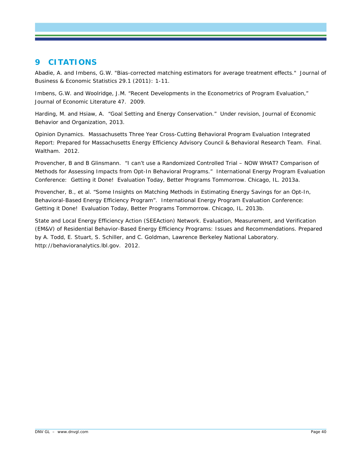# **9 CITATIONS**

Abadie, A. and Imbens, G.W. "Bias-corrected matching estimators for average treatment effects." *Journal of Business & Economic Statistics* 29.1 (2011): 1-11.

Imbens, G.W. and Woolridge, J.M. "Recent Developments in the Econometrics of Program Evaluation," *Journal of Economic Literature* 47. 2009.

Harding, M. and Hsiaw, A. "Goal Setting and Energy Conservation." Under revision, *Journal of Economic Behavior and Organization*, 2013.

Opinion Dynamics. Massachusetts Three Year Cross-Cutting Behavioral Program Evaluation Integrated Report: Prepared for Massachusetts Energy Efficiency Advisory Council & Behavioral Research Team. Final. Waltham. 2012.

Provencher, B and B Glinsmann. "I can't use a Randomized Controlled Trial – NOW WHAT? Comparison of Methods for Assessing Impacts from Opt-In Behavioral Programs." International Energy Program Evaluation Conference: Getting it Done! Evaluation Today, Better Programs Tommorrow. Chicago, IL. 2013a.

Provencher, B., et al. "Some Insights on Matching Methods in Estimating Energy Savings for an Opt-In, Behavioral-Based Energy Efficiency Program". International Energy Program Evaluation Conference: Getting it Done! Evaluation Today, Better Programs Tommorrow. Chicago, IL. 2013b.

State and Local Energy Efficiency Action (SEEAction) Network. *Evaluation, Measurement, and Verification (EM&V) of Residential Behavior-Based Energy Efficiency Programs: Issues and Recommendations*. Prepared by A. Todd, E. Stuart, S. Schiller, and C. Goldman, Lawrence Berkeley National Laboratory. http://behavioranalytics.lbl.gov. 2012.